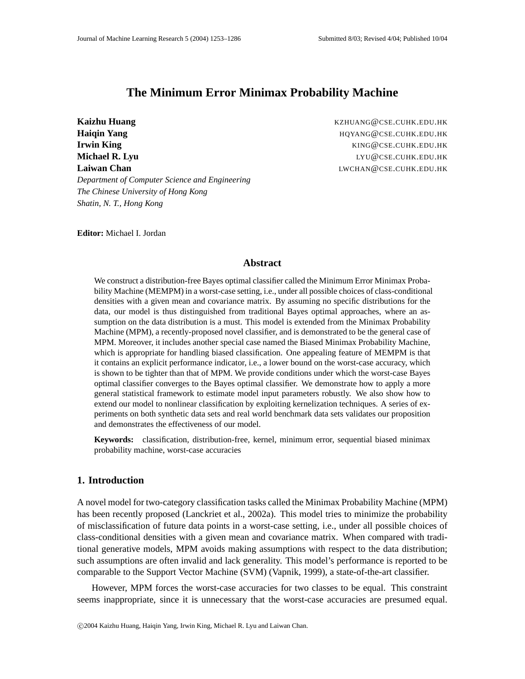# **The Minimum Error Minimax Probability Machine**

**Kaizhu Huang** KZHUANG@CSE.CUHK.EDU.HK **Haiqin Yang Haiqin Yang Haiqin Yang H**aiqin Yang **H**aiqin Yang **H**aiqin Yang Management Albert Albert Albert Albert Albert Albert Albert Albert Albert Albert Albert Albert Albert Albert Albert Albert Albert Albert A **Irwin King** KING@CSE.CUHK.EDU.HK **Michael R. Lyu Lyu Communist Communist Communist Communist Communist Communist Communist Communist Communist Communist Communist Communist Communist Communist Communist Communist Communist Communist Communist Communis Laiwan Chan** LWCHAN@CSE.CUHK.EDU.HK *Department of Computer Science and Engineering The Chinese University of Hong Kong Shatin, N. T., Hong Kong*

**Editor:** Michael I. Jordan

### **Abstract**

We construct a distribution-free Bayes optimal classifier called the Minimum Error Minimax Probability Machine (MEMPM) in a worst-case setting, i.e., under all possible choices of class-conditional densities with a given mean and covariance matrix. By assuming no specific distributions for the data, our model is thus distinguished from traditional Bayes optimal approaches, where an assumption on the data distribution is a must. This model is extended from the Minimax Probability Machine (MPM), a recently-proposed novel classifier, and is demonstrated to be the general case of MPM. Moreover, it includes another special case named the Biased Minimax Probability Machine, which is appropriate for handling biased classification. One appealing feature of MEMPM is that it contains an explicit performance indicator, i.e., a lower bound on the worst-case accuracy, which is shown to be tighter than that of MPM. We provide conditions under which the worst-case Bayes optimal classifier converges to the Bayes optimal classifier. We demonstrate how to apply a more general statistical framework to estimate model input parameters robustly. We also show how to extend our model to nonlinear classification by exploiting kernelization techniques. A series of experiments on both synthetic data sets and real world benchmark data sets validates our proposition and demonstrates the effectiveness of our model.

**Keywords:** classification, distribution-free, kernel, minimum error, sequential biased minimax probability machine, worst-case accuracies

## **1. Introduction**

A novel model for two-category classification tasks called the Minimax Probability Machine (MPM) has been recently proposed (Lanckriet et al., 2002a). This model tries to minimize the probability of misclassification of future data points in a worst-case setting, i.e., under all possible choices of class-conditional densities with a given mean and covariance matrix. When compared with traditional generative models, MPM avoids making assumptions with respect to the data distribution; such assumptions are often invalid and lack generality. This model's performance is reported to be comparable to the Support Vector Machine (SVM) (Vapnik, 1999), a state-of-the-art classifier.

However, MPM forces the worst-case accuracies for two classes to be equal. This constraint seems inappropriate, since it is unnecessary that the worst-case accuracies are presumed equal.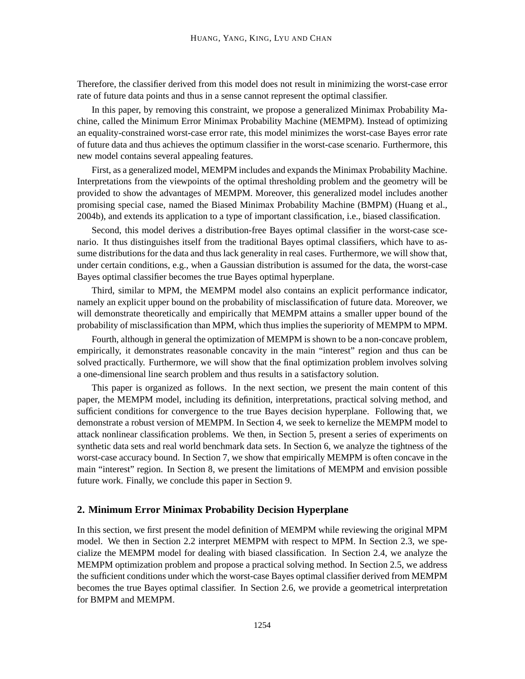Therefore, the classifier derived from this model does not result in minimizing the worst-case error rate of future data points and thus in a sense cannot represent the optimal classifier.

In this paper, by removing this constraint, we propose a generalized Minimax Probability Machine, called the Minimum Error Minimax Probability Machine (MEMPM). Instead of optimizing an equality-constrained worst-case error rate, this model minimizes the worst-case Bayes error rate of future data and thus achieves the optimum classifier in the worst-case scenario. Furthermore, this new model contains several appealing features.

First, as a generalized model, MEMPM includes and expands the Minimax Probability Machine. Interpretations from the viewpoints of the optimal thresholding problem and the geometry will be provided to show the advantages of MEMPM. Moreover, this generalized model includes another promising special case, named the Biased Minimax Probability Machine (BMPM) (Huang et al., 2004b), and extends its application to a type of important classification, i.e., biased classification.

Second, this model derives a distribution-free Bayes optimal classifier in the worst-case scenario. It thus distinguishes itself from the traditional Bayes optimal classifiers, which have to assume distributions for the data and thus lack generality in real cases. Furthermore, we will show that, under certain conditions, e.g., when a Gaussian distribution is assumed for the data, the worst-case Bayes optimal classifier becomes the true Bayes optimal hyperplane.

Third, similar to MPM, the MEMPM model also contains an explicit performance indicator, namely an explicit upper bound on the probability of misclassification of future data. Moreover, we will demonstrate theoretically and empirically that MEMPM attains a smaller upper bound of the probability of misclassification than MPM, which thus implies the superiority of MEMPM to MPM.

Fourth, although in general the optimization of MEMPM is shown to be a non-concave problem, empirically, it demonstrates reasonable concavity in the main "interest" region and thus can be solved practically. Furthermore, we will show that the final optimization problem involves solving a one-dimensional line search problem and thus results in a satisfactory solution.

This paper is organized as follows. In the next section, we present the main content of this paper, the MEMPM model, including its definition, interpretations, practical solving method, and sufficient conditions for convergence to the true Bayes decision hyperplane. Following that, we demonstrate a robust version of MEMPM. In Section 4, we seek to kernelize the MEMPM model to attack nonlinear classification problems. We then, in Section 5, present a series of experiments on synthetic data sets and real world benchmark data sets. In Section 6, we analyze the tightness of the worst-case accuracy bound. In Section 7, we show that empirically MEMPM is often concave in the main "interest" region. In Section 8, we present the limitations of MEMPM and envision possible future work. Finally, we conclude this paper in Section 9.

## **2. Minimum Error Minimax Probability Decision Hyperplane**

In this section, we first present the model definition of MEMPM while reviewing the original MPM model. We then in Section 2.2 interpret MEMPM with respect to MPM. In Section 2.3, we specialize the MEMPM model for dealing with biased classification. In Section 2.4, we analyze the MEMPM optimization problem and propose a practical solving method. In Section 2.5, we address the sufficient conditions under which the worst-case Bayes optimal classifier derived from MEMPM becomes the true Bayes optimal classifier. In Section 2.6, we provide a geometrical interpretation for BMPM and MEMPM.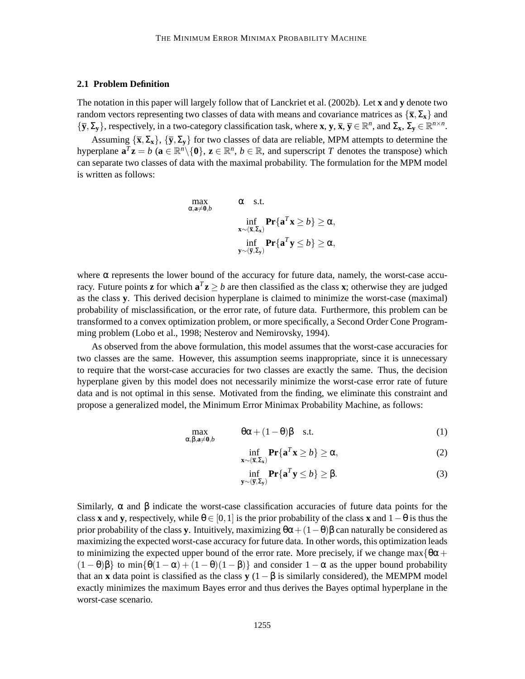#### **2.1 Problem Definition**

The notation in this paper will largely follow that of Lanckriet et al. (2002b). Let **x** and **y** denote two random vectors representing two classes of data with means and covariance matrices as  $\{\bar{\mathbf{x}}, \Sigma_{\mathbf{x}}\}$  and  ${\{\overline{y}, \Sigma_y\}}$ , respectively, in a two-category classification task, where **x**, **y**, **x**, **y**  $\in \mathbb{R}^n$ , and  $\Sigma_x$ ,  $\Sigma_y \in \mathbb{R}^{n \times n}$ .

Assuming  ${\bar{\mathbf{x}}, \Sigma_{\mathbf{x}}}, {\bar{\mathbf{y}}, \Sigma_{\mathbf{y}}}$  for two classes of data are reliable, MPM attempts to determine the hyperplane  $\mathbf{a}^T\mathbf{z} = b$  ( $\mathbf{a} \in \mathbb{R}^n \setminus \{0\}$ ,  $\mathbf{z} \in \mathbb{R}^n$ ,  $b \in \mathbb{R}$ , and superscript *T* denotes the transpose) which can separate two classes of data with the maximal probability. The formulation for the MPM model is written as follows:

$$
\max_{\alpha, \mathbf{a} \neq \mathbf{0}, b} \quad \alpha \quad \text{s.t.} \\
\inf_{\mathbf{x} \sim (\overline{\mathbf{x}}, \Sigma_{\mathbf{x}})} \mathbf{Pr}\{\mathbf{a}^{T}\mathbf{x} \geq b\} \geq \alpha, \\
\inf_{\mathbf{y} \sim (\overline{\mathbf{y}}, \Sigma_{\mathbf{y}})} \mathbf{Pr}\{\mathbf{a}^{T}\mathbf{y} \leq b\} \geq \alpha,
$$

where  $\alpha$  represents the lower bound of the accuracy for future data, namely, the worst-case accuracy. Future points **z** for which  $\mathbf{a}^T \mathbf{z} \ge b$  are then classified as the class **x**; otherwise they are judged as the class **y**. This derived decision hyperplane is claimed to minimize the worst-case (maximal) probability of misclassification, or the error rate, of future data. Furthermore, this problem can be transformed to a convex optimization problem, or more specifically, a Second Order Cone Programming problem (Lobo et al., 1998; Nesterov and Nemirovsky, 1994).

As observed from the above formulation, this model assumes that the worst-case accuracies for two classes are the same. However, this assumption seems inappropriate, since it is unnecessary to require that the worst-case accuracies for two classes are exactly the same. Thus, the decision hyperplane given by this model does not necessarily minimize the worst-case error rate of future data and is not optimal in this sense. Motivated from the finding, we eliminate this constraint and propose a generalized model, the Minimum Error Minimax Probability Machine, as follows:

$$
\max_{\alpha,\beta,\mathbf{a}\neq\mathbf{0},b} \qquad \theta\alpha + (1-\theta)\beta \quad \text{s.t.} \tag{1}
$$

inf  $\inf_{\mathbf{x} \sim (\overline{\mathbf{x}}, \Sigma_{\mathbf{x}})} \mathbf{Pr}\{\mathbf{a}^T \mathbf{x} \ge b\} \ge \alpha,$  (2)

$$
\inf_{\mathbf{y} \sim (\overline{\mathbf{y}}, \Sigma_{\mathbf{y}})} \mathbf{Pr}\{\mathbf{a}^T \mathbf{y} \le b\} \ge \beta.
$$
 (3)

Similarly,  $\alpha$  and  $\beta$  indicate the worst-case classification accuracies of future data points for the class **x** and **y**, respectively, while  $\theta \in [0,1]$  is the prior probability of the class **x** and  $1-\theta$  is thus the prior probability of the class **y**. Intuitively, maximizing  $\theta\alpha + (1-\theta)\beta$  can naturally be considered as maximizing the expected worst-case accuracy for future data. In other words, this optimization leads to minimizing the expected upper bound of the error rate. More precisely, if we change max $\{\theta\alpha + \theta\}$  $(1 - \theta)\beta$  to min{ $\theta(1 - \alpha) + (1 - \theta)(1 - \beta)$  and consider  $1 - \alpha$  as the upper bound probability that an **x** data point is classified as the class **y**  $(1 - \beta)$  is similarly considered), the MEMPM model exactly minimizes the maximum Bayes error and thus derives the Bayes optimal hyperplane in the worst-case scenario.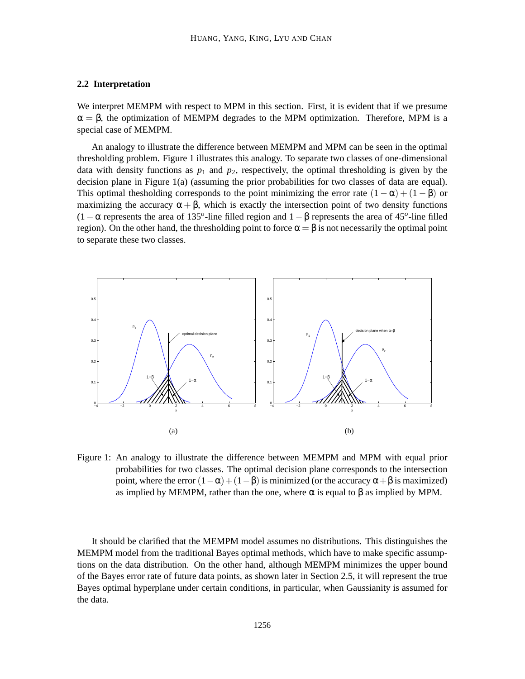### **2.2 Interpretation**

We interpret MEMPM with respect to MPM in this section. First, it is evident that if we presume  $\alpha = \beta$ , the optimization of MEMPM degrades to the MPM optimization. Therefore, MPM is a special case of MEMPM.

An analogy to illustrate the difference between MEMPM and MPM can be seen in the optimal thresholding problem. Figure 1 illustrates this analogy. To separate two classes of one-dimensional data with density functions as  $p_1$  and  $p_2$ , respectively, the optimal thresholding is given by the decision plane in Figure 1(a) (assuming the prior probabilities for two classes of data are equal). This optimal thesholding corresponds to the point minimizing the error rate  $(1 - \alpha) + (1 - \beta)$  or maximizing the accuracy  $\alpha + \beta$ , which is exactly the intersection point of two density functions (1−<sup>α</sup> represents the area of 135*<sup>o</sup>* -line filled region and 1−<sup>β</sup> represents the area of 45*<sup>o</sup>* -line filled region). On the other hand, the thresholding point to force  $\alpha = \beta$  is not necessarily the optimal point to separate these two classes.



Figure 1: An analogy to illustrate the difference between MEMPM and MPM with equal prior probabilities for two classes. The optimal decision plane corresponds to the intersection point, where the error  $(1-\alpha)+(1-\beta)$  is minimized (or the accuracy α+β is maximized) as implied by MEMPM, rather than the one, where  $\alpha$  is equal to  $\beta$  as implied by MPM.

It should be clarified that the MEMPM model assumes no distributions. This distinguishes the MEMPM model from the traditional Bayes optimal methods, which have to make specific assumptions on the data distribution. On the other hand, although MEMPM minimizes the upper bound of the Bayes error rate of future data points, as shown later in Section 2.5, it will represent the true Bayes optimal hyperplane under certain conditions, in particular, when Gaussianity is assumed for the data.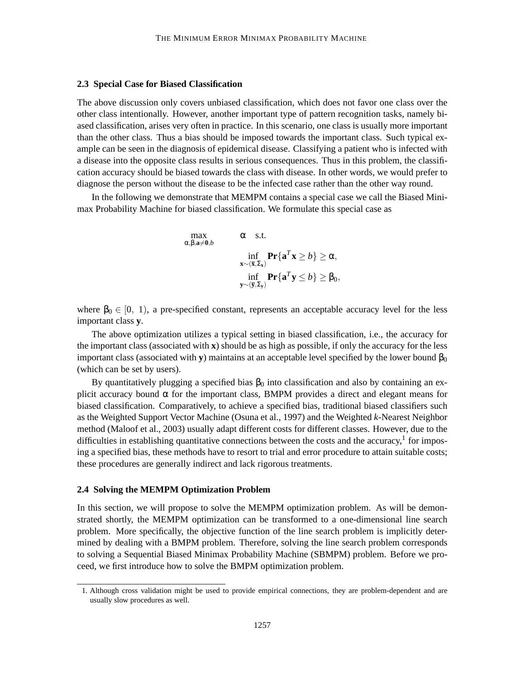### **2.3 Special Case for Biased Classification**

The above discussion only covers unbiased classification, which does not favor one class over the other class intentionally. However, another important type of pattern recognition tasks, namely biased classification, arises very often in practice. In this scenario, one class is usually more important than the other class. Thus a bias should be imposed towards the important class. Such typical example can be seen in the diagnosis of epidemical disease. Classifying a patient who is infected with a disease into the opposite class results in serious consequences. Thus in this problem, the classification accuracy should be biased towards the class with disease. In other words, we would prefer to diagnose the person without the disease to be the infected case rather than the other way round.

In the following we demonstrate that MEMPM contains a special case we call the Biased Minimax Probability Machine for biased classification. We formulate this special case as

$$
\max_{\alpha, \beta, \mathbf{a} \neq \mathbf{0}, b} \quad \alpha \quad \text{s.t.} \\
\inf_{\mathbf{x} \sim (\overline{\mathbf{x}}, \Sigma_{\mathbf{x}})} \mathbf{Pr}\{\mathbf{a}^{T}\mathbf{x} \geq b\} \geq \alpha, \\
\inf_{\mathbf{y} \sim (\overline{\mathbf{y}}, \Sigma_{\mathbf{y}})} \mathbf{Pr}\{\mathbf{a}^{T}\mathbf{y} \leq b\} \geq \beta_{0},
$$

where  $\beta_0 \in [0, 1)$ , a pre-specified constant, represents an acceptable accuracy level for the less important class **y**.

The above optimization utilizes a typical setting in biased classification, i.e., the accuracy for the important class (associated with **x**) should be as high as possible, if only the accuracy for the less important class (associated with **y**) maintains at an acceptable level specified by the lower bound  $\beta_0$ (which can be set by users).

By quantitatively plugging a specified bias  $β_0$  into classification and also by containing an explicit accuracy bound  $\alpha$  for the important class, BMPM provides a direct and elegant means for biased classification. Comparatively, to achieve a specified bias, traditional biased classifiers such as the Weighted Support Vector Machine (Osuna et al., 1997) and the Weighted *k*-Nearest Neighbor method (Maloof et al., 2003) usually adapt different costs for different classes. However, due to the difficulties in establishing quantitative connections between the costs and the accuracy, $<sup>1</sup>$  for impos-</sup> ing a specified bias, these methods have to resort to trial and error procedure to attain suitable costs; these procedures are generally indirect and lack rigorous treatments.

#### **2.4 Solving the MEMPM Optimization Problem**

In this section, we will propose to solve the MEMPM optimization problem. As will be demonstrated shortly, the MEMPM optimization can be transformed to a one-dimensional line search problem. More specifically, the objective function of the line search problem is implicitly determined by dealing with a BMPM problem. Therefore, solving the line search problem corresponds to solving a Sequential Biased Minimax Probability Machine (SBMPM) problem. Before we proceed, we first introduce how to solve the BMPM optimization problem.

<sup>1.</sup> Although cross validation might be used to provide empirical connections, they are problem-dependent and are usually slow procedures as well.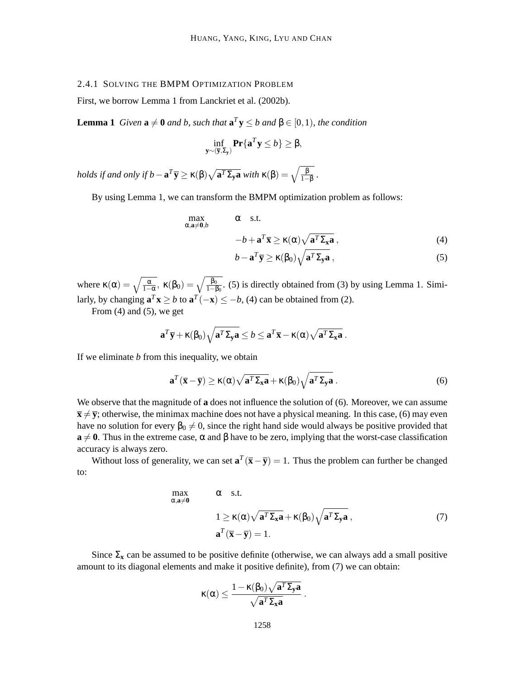### 2.4.1 SOLVING THE BMPM OPTIMIZATION PROBLEM

First, we borrow Lemma 1 from Lanckriet et al. (2002b).

**Lemma 1** *Given*  $\mathbf{a} \neq \mathbf{0}$  *and b, such that*  $\mathbf{a}^T \mathbf{y} \leq b$  *and*  $\beta \in [0,1)$ *, the condition* 

$$
\inf_{\mathbf{y}\sim(\overline{\mathbf{y}},\Sigma_{\mathbf{y}})}\mathbf{Pr}\{\mathbf{a}^T\mathbf{y}\leq b\}\geq\beta,
$$

*holds if and only if*  $b - \mathbf{a}^T \overline{\mathbf{y}} \ge \kappa(\beta) \sqrt{\mathbf{a}^T \Sigma_{\mathbf{y}} \mathbf{a}}$  *with*  $\kappa(\beta) = \sqrt{\frac{\beta}{1-\beta}}$ .

By using Lemma 1, we can transform the BMPM optimization problem as follows:

$$
\max_{\alpha, \mathbf{a} \neq \mathbf{0}, b} \qquad \alpha \quad \text{s.t.} \qquad \qquad
$$

$$
-b + \mathbf{a}^T \overline{\mathbf{x}} \ge \kappa(\alpha) \sqrt{\mathbf{a}^T \Sigma_{\mathbf{x}} \mathbf{a}} \,, \tag{4}
$$

$$
b - \mathbf{a}^T \overline{\mathbf{y}} \ge \kappa(\beta_0) \sqrt{\mathbf{a}^T \Sigma_{\mathbf{y}} \mathbf{a}},
$$
 (5)

where  $\kappa(\alpha) = \sqrt{\frac{\alpha}{1-\alpha}}$ ,  $\kappa(\beta_0) = \sqrt{\frac{\beta_0}{1-\beta_0}}$ . (5) is directly obtained from (3) by using Lemma 1. Similarly, by changing  $\mathbf{a}^T \mathbf{x} \ge b$  to  $\mathbf{a}^T(-\mathbf{x}) \le -b$ , (4) can be obtained from (2).

From (4) and (5), we get

$$
\mathbf{a}^T \overline{\mathbf{y}} + \kappa(\beta_0) \sqrt{\mathbf{a}^T \Sigma_{\mathbf{y}} \mathbf{a}} \le b \le \mathbf{a}^T \overline{\mathbf{x}} - \kappa(\alpha) \sqrt{\mathbf{a}^T \Sigma_{\mathbf{x}} \mathbf{a}} \ .
$$

If we eliminate *b* from this inequality, we obtain

$$
\mathbf{a}^T(\overline{\mathbf{x}} - \overline{\mathbf{y}}) \ge \kappa(\alpha) \sqrt{\mathbf{a}^T \Sigma_{\mathbf{x}} \mathbf{a}} + \kappa(\beta_0) \sqrt{\mathbf{a}^T \Sigma_{\mathbf{y}} \mathbf{a}}.
$$
 (6)

We observe that the magnitude of **a** does not influence the solution of (6). Moreover, we can assume  $\bar{x} \neq \bar{y}$ ; otherwise, the minimax machine does not have a physical meaning. In this case, (6) may even have no solution for every  $\beta_0 \neq 0$ , since the right hand side would always be positive provided that  $\mathbf{a} \neq \mathbf{0}$ . Thus in the extreme case,  $\alpha$  and  $\beta$  have to be zero, implying that the worst-case classification accuracy is always zero.

Without loss of generality, we can set  $\mathbf{a}^T(\bar{\mathbf{x}} - \bar{\mathbf{y}}) = 1$ . Thus the problem can further be changed to:

$$
\max_{\alpha, \mathbf{a} \neq \mathbf{0}} \qquad \alpha \quad \text{s.t.}
$$
\n
$$
1 \ge \kappa(\alpha) \sqrt{\mathbf{a}^T \Sigma_{\mathbf{x}} \mathbf{a}} + \kappa(\beta_0) \sqrt{\mathbf{a}^T \Sigma_{\mathbf{y}} \mathbf{a}} \,, \tag{7}
$$
\n
$$
\mathbf{a}^T (\overline{\mathbf{x}} - \overline{\mathbf{y}}) = 1.
$$

Since  $\Sigma_{\bf x}$  can be assumed to be positive definite (otherwise, we can always add a small positive amount to its diagonal elements and make it positive definite), from (7) we can obtain:

$$
\kappa(\alpha) \leq \frac{1 - \kappa(\beta_0) \sqrt{a^T \Sigma_y a}}{\sqrt{a^T \Sigma_x a}} \ .
$$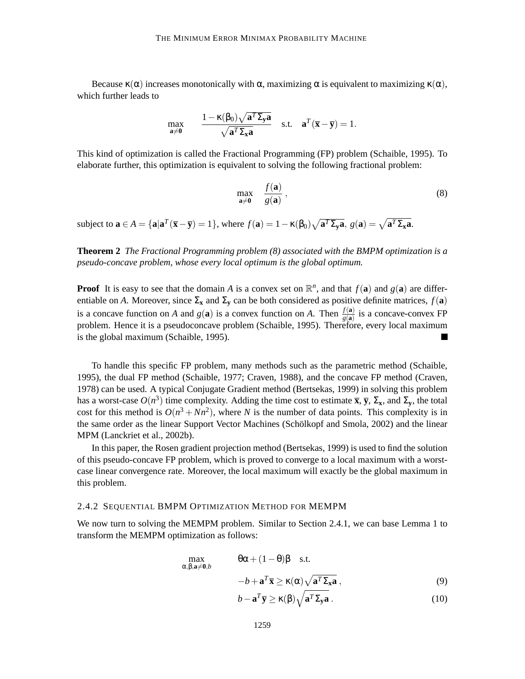Because  $\kappa(\alpha)$  increases monotonically with  $\alpha$ , maximizing  $\alpha$  is equivalent to maximizing  $\kappa(\alpha)$ , which further leads to

$$
\max_{\mathbf{a}\neq \mathbf{0}} \qquad \frac{1-\kappa(\beta_0)\sqrt{\mathbf{a}^T \Sigma_{\mathbf{y}} \mathbf{a}}}{\sqrt{\mathbf{a}^T \Sigma_{\mathbf{x}} \mathbf{a}}} \quad \text{s.t.} \quad \mathbf{a}^T(\overline{\mathbf{x}}-\overline{\mathbf{y}})=1.
$$

This kind of optimization is called the Fractional Programming (FP) problem (Schaible, 1995). To elaborate further, this optimization is equivalent to solving the following fractional problem:

$$
\max_{\mathbf{a}\neq\mathbf{0}} \quad \frac{f(\mathbf{a})}{g(\mathbf{a})},\tag{8}
$$

subject to  $\mathbf{a} \in A = {\mathbf{a} | \mathbf{a}^T(\overline{\mathbf{x}} - \overline{\mathbf{y}}) = 1}$ , where  $f(\mathbf{a}) = 1 - \kappa(\beta_0) \sqrt{\mathbf{a}^T \Sigma_{\mathbf{y}} \mathbf{a}}$ ,  $g(\mathbf{a}) = \sqrt{\mathbf{a}^T \Sigma_{\mathbf{x}} \mathbf{a}}$ .

**Theorem 2** *The Fractional Programming problem (8) associated with the BMPM optimization is a pseudo-concave problem, whose every local optimum is the global optimum.*

**Proof** It is easy to see that the domain *A* is a convex set on  $\mathbb{R}^n$ , and that  $f(\mathbf{a})$  and  $g(\mathbf{a})$  are differentiable on *A*. Moreover, since  $\Sigma$ **x** and  $\Sigma$ **y** can be both considered as positive definite matrices,  $f(\mathbf{a})$ is a concave function on *A* and  $g(\mathbf{a})$  is a convex function on *A*. Then  $\frac{f(\mathbf{a})}{g(\mathbf{a})}$  is a concave-convex FP problem. Hence it is a pseudoconcave problem (Schaible, 1995). Therefore, every local maximum is the global maximum (Schaible, 1995).

To handle this specific FP problem, many methods such as the parametric method (Schaible, 1995), the dual FP method (Schaible, 1977; Craven, 1988), and the concave FP method (Craven, 1978) can be used. A typical Conjugate Gradient method (Bertsekas, 1999) in solving this problem has a worst-case  $O(n^3)$  time complexity. Adding the time cost to estimate  $\bar{x}$ ,  $\bar{y}$ ,  $\Sigma_{\bar{x}}$ , and  $\Sigma_{\bar{y}}$ , the total cost for this method is  $O(n^3 + Nn^2)$ , where *N* is the number of data points. This complexity is in the same order as the linear Support Vector Machines (Schölkopf and Smola, 2002) and the linear MPM (Lanckriet et al., 2002b).

In this paper, the Rosen gradient projection method (Bertsekas, 1999) is used to find the solution of this pseudo-concave FP problem, which is proved to converge to a local maximum with a worstcase linear convergence rate. Moreover, the local maximum will exactly be the global maximum in this problem.

#### 2.4.2 SEQUENTIAL BMPM OPTIMIZATION METHOD FOR MEMPM

We now turn to solving the MEMPM problem. Similar to Section 2.4.1, we can base Lemma 1 to transform the MEMPM optimization as follows:

$$
\max_{\alpha,\beta,\mathbf{a}\neq\mathbf{0},b} \qquad \theta\alpha + (1-\theta)\beta \quad \text{s.t.}
$$

$$
-b + \mathbf{a}^T \overline{\mathbf{x}} \ge \kappa(\alpha) \sqrt{\mathbf{a}^T \Sigma_{\mathbf{x}} \mathbf{a}} , \tag{9}
$$
  

$$
b - \mathbf{a}^T \overline{\mathbf{v}} \ge \kappa(\beta) \sqrt{\mathbf{a}^T \Sigma_{\mathbf{x}} \mathbf{a}} , \tag{10}
$$

$$
b - \mathbf{a}^T \overline{\mathbf{y}} \ge \kappa(\beta) \sqrt{\mathbf{a}^T \Sigma_{\mathbf{y}} \mathbf{a}} \,. \tag{10}
$$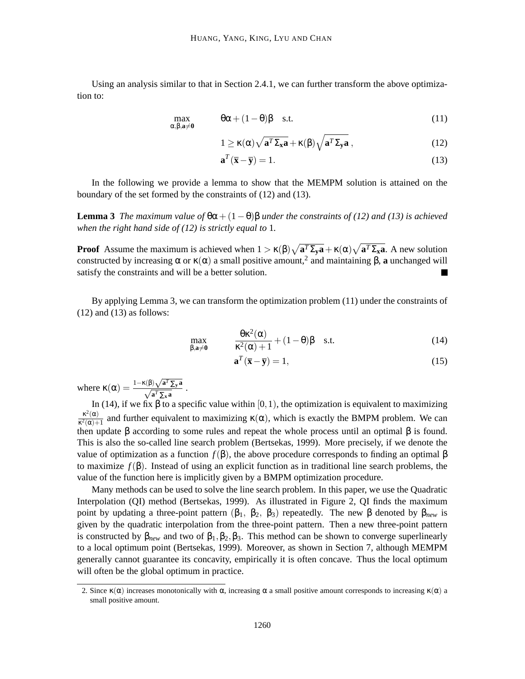Using an analysis similar to that in Section 2.4.1, we can further transform the above optimization to:

$$
\max_{\alpha,\beta,a\neq 0} \qquad \theta\alpha + (1-\theta)\beta \quad \text{s.t.} \tag{11}
$$

$$
1 \ge \kappa(\alpha) \sqrt{\mathbf{a}^T \Sigma_{\mathbf{x}} \mathbf{a}} + \kappa(\beta) \sqrt{\mathbf{a}^T \Sigma_{\mathbf{y}} \mathbf{a}} \,, \tag{12}
$$

$$
\mathbf{a}^T (\overline{\mathbf{x}} - \overline{\mathbf{y}}) = 1. \tag{13}
$$

In the following we provide a lemma to show that the MEMPM solution is attained on the boundary of the set formed by the constraints of (12) and (13).

**Lemma 3** *The maximum value of*  $\theta\alpha + (1-\theta)\beta$  *under the constraints of (12) and (13) is achieved when the right hand side of (12) is strictly equal to* 1*.*

**Proof** Assume the maximum is achieved when  $1 > \kappa(\beta)\sqrt{a^T\Sigma_y a} + \kappa(\alpha)\sqrt{a^T\Sigma_x a}$ . A new solution constructed by increasing  $\alpha$  or  $\kappa(\alpha)$  a small positive amount,<sup>2</sup> and maintaining β, a unchanged will satisfy the constraints and will be a better solution. П

By applying Lemma 3, we can transform the optimization problem (11) under the constraints of  $(12)$  and  $(13)$  as follows:

$$
\max_{\beta, a \neq 0} \qquad \frac{\theta \kappa^2(\alpha)}{\kappa^2(\alpha) + 1} + (1 - \theta)\beta \quad \text{s.t.} \tag{14}
$$

$$
\mathbf{a}^T (\overline{\mathbf{x}} - \overline{\mathbf{y}}) = 1,\tag{15}
$$

where  $\kappa(\alpha) = \frac{1 - \kappa(\beta)\sqrt{a^T \sum_{y} a}}{\sqrt{a^T \sum_{x} a}}$ .

In (14), if we fix β to a specific value within [0, 1), the optimization is equivalent to maximizing  $\kappa^2(\alpha)$  $\frac{k^2(\alpha)}{k^2(\alpha)+1}$  and further equivalent to maximizing  $\kappa(\alpha)$ , which is exactly the BMPM problem. We can then update  $\beta$  according to some rules and repeat the whole process until an optimal  $\beta$  is found. This is also the so-called line search problem (Bertsekas, 1999). More precisely, if we denote the value of optimization as a function  $f(\beta)$ , the above procedure corresponds to finding an optimal β to maximize  $f(\beta)$ . Instead of using an explicit function as in traditional line search problems, the value of the function here is implicitly given by a BMPM optimization procedure.

Many methods can be used to solve the line search problem. In this paper, we use the Quadratic Interpolation (QI) method (Bertsekas, 1999). As illustrated in Figure 2, QI finds the maximum point by updating a three-point pattern  $(β_1, β_2, β_3)$  repeatedly. The new β denoted by  $β_{new}$  is given by the quadratic interpolation from the three-point pattern. Then a new three-point pattern is constructed by  $\beta_{new}$  and two of  $\beta_1, \beta_2, \beta_3$ . This method can be shown to converge superlinearly to a local optimum point (Bertsekas, 1999). Moreover, as shown in Section 7, although MEMPM generally cannot guarantee its concavity, empirically it is often concave. Thus the local optimum will often be the global optimum in practice.

<sup>2.</sup> Since  $\kappa(\alpha)$  increases monotonically with  $\alpha$ , increasing  $\alpha$  a small positive amount corresponds to increasing  $\kappa(\alpha)$  a small positive amount.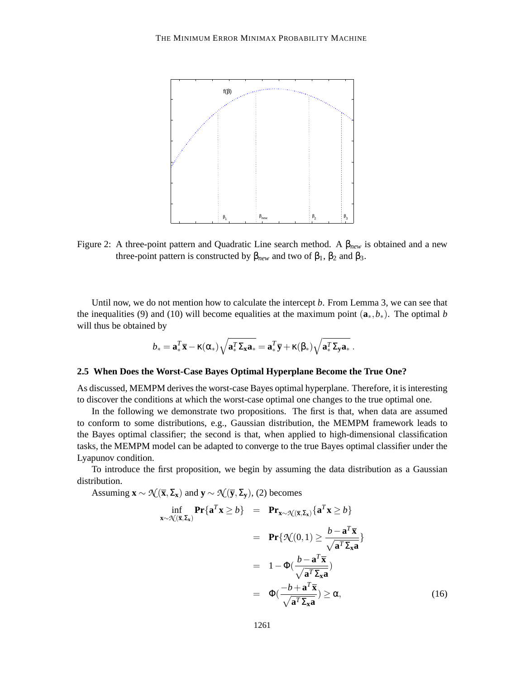

Figure 2: A three-point pattern and Quadratic Line search method. A β*new* is obtained and a new three-point pattern is constructed by  $β_{new}$  and two of  $β_1$ ,  $β_2$  and  $β_3$ .

Until now, we do not mention how to calculate the intercept *b*. From Lemma 3, we can see that the inequalities (9) and (10) will become equalities at the maximum point  $(\mathbf{a}_*, b_*)$ . The optimal *b* will thus be obtained by

$$
b_* = \mathbf{a}_*^T \overline{\mathbf{x}} - \kappa(\alpha_*) \sqrt{\mathbf{a}_*^T \Sigma_{\mathbf{x}} \mathbf{a}_*} = \mathbf{a}_*^T \overline{\mathbf{y}} + \kappa(\beta_*) \sqrt{\mathbf{a}_*^T \Sigma_{\mathbf{y}} \mathbf{a}_*}.
$$

## **2.5 When Does the Worst-Case Bayes Optimal Hyperplane Become the True One?**

As discussed, MEMPM derives the worst-case Bayes optimal hyperplane. Therefore, it is interesting to discover the conditions at which the worst-case optimal one changes to the true optimal one.

In the following we demonstrate two propositions. The first is that, when data are assumed to conform to some distributions, e.g., Gaussian distribution, the MEMPM framework leads to the Bayes optimal classifier; the second is that, when applied to high-dimensional classification tasks, the MEMPM model can be adapted to converge to the true Bayes optimal classifier under the Lyapunov condition.

To introduce the first proposition, we begin by assuming the data distribution as a Gaussian distribution.

Assuming  $\mathbf{x} \sim \mathcal{N}(\overline{\mathbf{x}}, \Sigma_{\mathbf{x}})$  and  $\mathbf{y} \sim \mathcal{N}(\overline{\mathbf{y}}, \Sigma_{\mathbf{y}})$ , (2) becomes

$$
\inf_{\mathbf{x}\sim\mathcal{N}(\overline{\mathbf{x}},\Sigma_{\mathbf{x}})} \mathbf{Pr}\{\mathbf{a}^T \mathbf{x} \ge b\} = \mathbf{Pr}_{\mathbf{x}\sim\mathcal{N}(\overline{\mathbf{x}},\Sigma_{\mathbf{x}})}\{\mathbf{a}^T \mathbf{x} \ge b\}
$$
\n
$$
= \mathbf{Pr}\{\mathcal{N}(0,1) \ge \frac{b-\mathbf{a}^T \overline{\mathbf{x}}}{\sqrt{\mathbf{a}^T \Sigma_{\mathbf{x}} \mathbf{a}}}\}
$$
\n
$$
= 1 - \Phi(\frac{b-\mathbf{a}^T \overline{\mathbf{x}}}{\sqrt{\mathbf{a}^T \Sigma_{\mathbf{x}} \mathbf{a}}})
$$
\n
$$
= \Phi(\frac{-b+\mathbf{a}^T \overline{\mathbf{x}}}{\sqrt{\mathbf{a}^T \Sigma_{\mathbf{x}} \mathbf{a}}}) \ge \alpha,
$$
\n(16)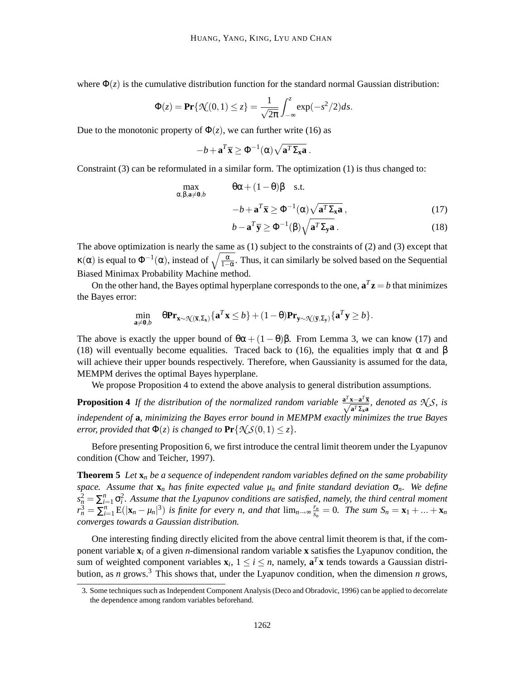where  $\Phi(z)$  is the cumulative distribution function for the standard normal Gaussian distribution:

$$
\Phi(z) = \Pr\{\mathcal{R}(0,1) \le z\} = \frac{1}{\sqrt{2\pi}} \int_{-\infty}^{z} \exp(-s^2/2) ds.
$$

Due to the monotonic property of  $\Phi(z)$ , we can further write (16) as

$$
-b + \mathbf{a}^T \overline{\mathbf{x}} \ge \Phi^{-1}(\alpha) \sqrt{\mathbf{a}^T \Sigma_{\mathbf{x}} \mathbf{a}}.
$$

Constraint (3) can be reformulated in a similar form. The optimization (1) is thus changed to:

$$
\max_{\alpha, \beta, \mathbf{a} \neq \mathbf{0}, b} \qquad \qquad \theta \alpha + (1 - \theta) \beta \quad \text{s.t.} \qquad \qquad
$$
\n
$$
-b + \mathbf{a}^T \overline{\mathbf{x}} \ge \Phi^{-1}(\alpha) \sqrt{\mathbf{a}^T \Sigma_{\mathbf{x}} \mathbf{a}} \,, \tag{17}
$$

$$
b - \mathbf{a}^T \overline{\mathbf{y}} \ge \Phi^{-1}(\beta) \sqrt{\mathbf{a}^T \Sigma_{\mathbf{y}} \mathbf{a}} \,. \tag{18}
$$

The above optimization is nearly the same as (1) subject to the constraints of (2) and (3) except that  $\kappa(\alpha)$  is equal to  $\Phi^{-1}(\alpha)$ , instead of  $\sqrt{\frac{\alpha}{1-\alpha}}$ . Thus, it can similarly be solved based on the Sequential Biased Minimax Probability Machine method.

On the other hand, the Bayes optimal hyperplane corresponds to the one,  $\mathbf{a}^T \mathbf{z} = b$  that minimizes the Bayes error:

$$
\min_{\mathbf{a}\neq\mathbf{0},b} \quad \theta\mathbf{Pr}_{\mathbf{x}\sim\mathcal{N}(\overline{\mathbf{x}},\Sigma_{\mathbf{x}})}\{\mathbf{a}^T\mathbf{x}\leq b\}+(1-\theta)\mathbf{Pr}_{\mathbf{y}\sim\mathcal{N}(\overline{\mathbf{y}},\Sigma_{\mathbf{y}})}\{\mathbf{a}^T\mathbf{y}\geq b\}.
$$

The above is exactly the upper bound of  $\theta\alpha + (1 - \theta)\beta$ . From Lemma 3, we can know (17) and (18) will eventually become equalities. Traced back to (16), the equalities imply that  $\alpha$  and  $\beta$ will achieve their upper bounds respectively. Therefore, when Gaussianity is assumed for the data, MEMPM derives the optimal Bayes hyperplane.

We propose Proposition 4 to extend the above analysis to general distribution assumptions.

**Proposition 4** *If the distribution of the normalized random variable*  $\frac{a^T x - a^T \overline{x}}{\sqrt{a^T \Sigma_x a}}$ *, denoted as*  $\mathcal{N} \mathcal{S}$ *, is independent of* **a***, minimizing the Bayes error bound in MEMPM exactly minimizes the true Bayes error, provided that*  $\Phi(z)$  *is changed to*  $\Pr{\mathcal{N}\mathcal{S}(0,1) \leq z}$ *.* 

Before presenting Proposition 6, we first introduce the central limit theorem under the Lyapunov condition (Chow and Teicher, 1997).

**Theorem 5** *Let* **x***<sup>n</sup> be a sequence of independent random variables defined on the same probability space. Assume that* **x***<sup>n</sup> has finite expected value µ<sup>n</sup> and finite standard deviation* σ*n. We define*  $s_n^2 = \sum_{i=1}^n \sigma_i^2$ . Assume that the Lyapunov conditions are satisfied, namely, the third central moment  $r_n^3 = \sum_{i=1}^n E(|\mathbf{x}_n - \mu_n|^3)$  *is finite for every n, and that*  $\lim_{n \to \infty} \frac{r_n}{s_n}$  $\frac{r_n}{s_n} = 0$ . The sum  $S_n = \mathbf{x}_1 + ... + \mathbf{x}_n$ *converges towards a Gaussian distribution.*

One interesting finding directly elicited from the above central limit theorem is that, if the component variable  $\mathbf{x}_i$  of a given *n*-dimensional random variable **x** satisfies the Lyapunov condition, the sum of weighted component variables  $\mathbf{x}_i$ ,  $1 \le i \le n$ , namely,  $\mathbf{a}^T \mathbf{x}$  tends towards a Gaussian distribution, as *n* grows.<sup>3</sup> This shows that, under the Lyapunov condition, when the dimension *n* grows,

<sup>3.</sup> Some techniques such as Independent Component Analysis (Deco and Obradovic, 1996) can be applied to decorrelate the dependence among random variables beforehand.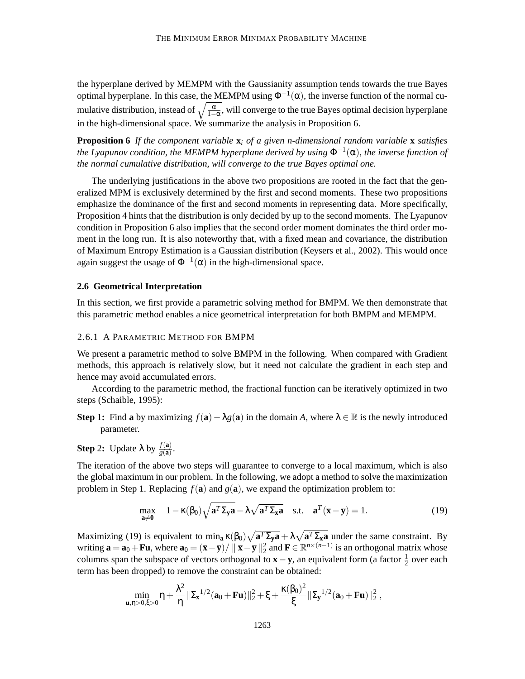the hyperplane derived by MEMPM with the Gaussianity assumption tends towards the true Bayes optimal hyperplane. In this case, the MEMPM using  $\Phi^{-1}(\alpha)$ , the inverse function of the normal cumulative distribution, instead of  $\sqrt{\frac{\alpha}{1-\alpha}}$ , will converge to the true Bayes optimal decision hyperplane in the high-dimensional space. We summarize the analysis in Proposition 6.

**Proposition 6** *If the component variable* **x***<sup>i</sup> of a given n-dimensional random variable* **x** *satisfies the Lyapunov condition, the MEMPM hyperplane derived by using* Φ−<sup>1</sup> (α)*, the inverse function of the normal cumulative distribution, will converge to the true Bayes optimal one.*

The underlying justifications in the above two propositions are rooted in the fact that the generalized MPM is exclusively determined by the first and second moments. These two propositions emphasize the dominance of the first and second moments in representing data. More specifically, Proposition 4 hints that the distribution is only decided by up to the second moments. The Lyapunov condition in Proposition 6 also implies that the second order moment dominates the third order moment in the long run. It is also noteworthy that, with a fixed mean and covariance, the distribution of Maximum Entropy Estimation is a Gaussian distribution (Keysers et al., 2002). This would once again suggest the usage of  $\Phi^{-1}(\alpha)$  in the high-dimensional space.

#### **2.6 Geometrical Interpretation**

In this section, we first provide a parametric solving method for BMPM. We then demonstrate that this parametric method enables a nice geometrical interpretation for both BMPM and MEMPM.

#### 2.6.1 A PARAMETRIC METHOD FOR BMPM

We present a parametric method to solve BMPM in the following. When compared with Gradient methods, this approach is relatively slow, but it need not calculate the gradient in each step and hence may avoid accumulated errors.

According to the parametric method, the fractional function can be iteratively optimized in two steps (Schaible, 1995):

**Step 1:** Find **a** by maximizing  $f(\mathbf{a}) - \lambda g(\mathbf{a})$  in the domain *A*, where  $\lambda \in \mathbb{R}$  is the newly introduced parameter.

**Step 2:** Update  $\lambda$  by  $\frac{f(\mathbf{a})}{g(\mathbf{a})}$ .

The iteration of the above two steps will guarantee to converge to a local maximum, which is also the global maximum in our problem. In the following, we adopt a method to solve the maximization problem in Step 1. Replacing  $f(\mathbf{a})$  and  $g(\mathbf{a})$ , we expand the optimization problem to:

$$
\max_{\mathbf{a}\neq \mathbf{0}} \quad 1 - \kappa(\beta_0) \sqrt{\mathbf{a}^T \Sigma_{\mathbf{y}} \mathbf{a}} - \lambda \sqrt{\mathbf{a}^T \Sigma_{\mathbf{x}} \mathbf{a}} \quad \text{s.t.} \quad \mathbf{a}^T (\overline{\mathbf{x}} - \overline{\mathbf{y}}) = 1. \tag{19}
$$

Maximizing (19) is equivalent to min<sub>a</sub>  $\kappa(\beta_0)\sqrt{a^T\Sigma_y a} + \lambda \sqrt{a^T\Sigma_x a}$  under the same constraint. By writing  $\mathbf{a} = \mathbf{a}_0 + \mathbf{F} \mathbf{u}$ , where  $\mathbf{a}_0 = (\overline{\mathbf{x}} - \overline{\mathbf{y}}) / ||\overline{\mathbf{x}} - \overline{\mathbf{y}}||_2^2$  and  $\mathbf{F} \in \mathbb{R}^{n \times (n-1)}$  is an orthogonal matrix whose columns span the subspace of vectors orthogonal to  $\bar{x} - \bar{y}$ , an equivalent form (a factor  $\frac{1}{2}$  over each term has been dropped) to remove the constraint can be obtained:

$$
\min_{\bm u,\eta>0,\xi>0}\eta+\frac{\lambda^2}{\eta}\|\bm\Sigma_{\bm x}^{1/2}(\bm a_0+\bm F\bm u)\|_2^2+\xi+\frac{\kappa(\beta_0)^2}{\xi}\|\bm\Sigma_{\bm y}^{1/2}(\bm a_0+\bm F\bm u)\|_2^2\;,
$$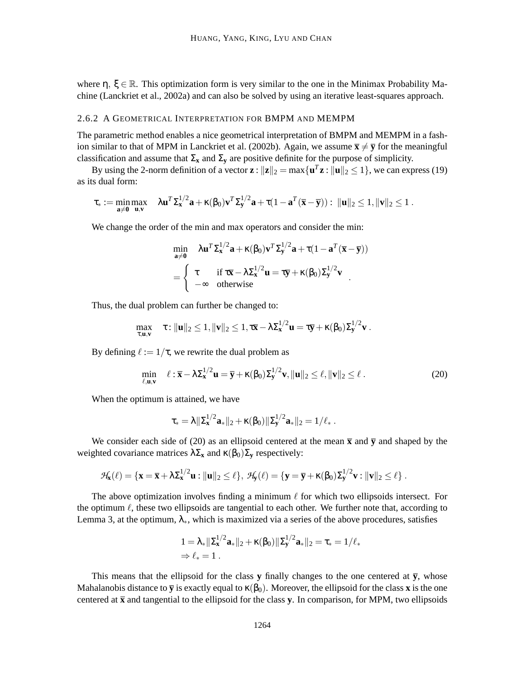where  $\eta$ ,  $\xi \in \mathbb{R}$ . This optimization form is very similar to the one in the Minimax Probability Machine (Lanckriet et al., 2002a) and can also be solved by using an iterative least-squares approach.

#### 2.6.2 A GEOMETRICAL INTERPRETATION FOR BMPM AND MEMPM

The parametric method enables a nice geometrical interpretation of BMPM and MEMPM in a fashion similar to that of MPM in Lanckriet et al. (2002b). Again, we assume  $\bar{\mathbf{x}} \neq \bar{\mathbf{y}}$  for the meaningful classification and assume that  $\Sigma_x$  and  $\Sigma_y$  are positive definite for the purpose of simplicity.

By using the 2-norm definition of a vector  $\mathbf{z}$  :  $\|\mathbf{z}\|_2 = \max\{\mathbf{u}^T\mathbf{z} : \|\mathbf{u}\|_2 \le 1\}$ , we can express (19) as its dual form:

$$
\tau_* := \min_{\mathbf{a} \neq \mathbf{0}} \max_{\mathbf{u}, \mathbf{v}} \quad \lambda \mathbf{u}^T \Sigma_{\mathbf{x}}^{1/2} \mathbf{a} + \kappa(\beta_0) \mathbf{v}^T \Sigma_{\mathbf{y}}^{1/2} \mathbf{a} + \tau (1 - \mathbf{a}^T (\overline{\mathbf{x}} - \overline{\mathbf{y}})) : \ \|\mathbf{u}\|_2 \leq 1, \|\mathbf{v}\|_2 \leq 1 \ .
$$

We change the order of the min and max operators and consider the min:

$$
\min_{\mathbf{a}\neq\mathbf{0}} \quad \lambda \mathbf{u}^T \Sigma_{\mathbf{x}}^{1/2} \mathbf{a} + \kappa(\beta_0) \mathbf{v}^T \Sigma_{\mathbf{y}}^{1/2} \mathbf{a} + \tau (1 - \mathbf{a}^T (\overline{\mathbf{x}} - \overline{\mathbf{y}}))
$$
\n
$$
= \begin{cases} \tau & \text{if } \tau \overline{\mathbf{x}} - \lambda \Sigma_{\mathbf{x}}^{1/2} \mathbf{u} = \tau \overline{\mathbf{y}} + \kappa(\beta_0) \Sigma_{\mathbf{y}}^{1/2} \mathbf{v} \\ -\infty & \text{otherwise} \end{cases}
$$

Thus, the dual problem can further be changed to:

$$
\max_{\tau,\mathbf{u},\mathbf{v}} \quad \tau: \|\mathbf{u}\|_2 \leq 1, \|\mathbf{v}\|_2 \leq 1, \tau\overline{\mathbf{x}} - \lambda \Sigma_{\mathbf{x}}^{1/2} \mathbf{u} = \tau\overline{\mathbf{y}} + \kappa(\beta_0) \Sigma_{\mathbf{y}}^{1/2} \mathbf{v} \ .
$$

By defining  $\ell := 1/\tau$ , we rewrite the dual problem as

$$
\min_{\ell, \mathbf{u}, \mathbf{v}} \quad \ell : \overline{\mathbf{x}} - \lambda \Sigma_{\mathbf{x}}^{1/2} \mathbf{u} = \overline{\mathbf{y}} + \kappa(\beta_0) \Sigma_{\mathbf{y}}^{1/2} \mathbf{v}, \|\mathbf{u}\|_2 \le \ell, \|\mathbf{v}\|_2 \le \ell. \tag{20}
$$

When the optimum is attained, we have

$$
\tau_* = \lambda \| \Sigma_{\bm{x}}^{1/2} \bm{a}_* \|_2 + \kappa(\beta_0) \| \Sigma_{\bm{y}}^{1/2} \bm{a}_* \|_2 = 1/\ell_* \; .
$$

We consider each side of (20) as an ellipsoid centered at the mean  $\bar{x}$  and  $\bar{y}$  and shaped by the weighted covariance matrices  $\lambda \Sigma_{\mathbf{x}}$  and  $\kappa(\beta_0) \Sigma_{\mathbf{y}}$  respectively:

$$
\mathcal{H}_{\mathbf{x}}(\ell) = \{ \mathbf{x} = \overline{\mathbf{x}} + \lambda \Sigma_{\mathbf{x}}^{1/2} \mathbf{u} : ||\mathbf{u}||_2 \le \ell \}, \ \mathcal{H}_{\mathbf{y}}(\ell) = \{ \mathbf{y} = \overline{\mathbf{y}} + \kappa(\beta_0) \Sigma_{\mathbf{y}}^{1/2} \mathbf{v} : ||\mathbf{v}||_2 \le \ell \} .
$$

The above optimization involves finding a minimum  $\ell$  for which two ellipsoids intersect. For the optimum  $\ell$ , these two ellipsoids are tangential to each other. We further note that, according to Lemma 3, at the optimum,  $\lambda_*$ , which is maximized via a series of the above procedures, satisfies

$$
1 = \lambda_* ||\Sigma_{\mathbf{x}}^{1/2} \mathbf{a}_*||_2 + \kappa(\beta_0) ||\Sigma_{\mathbf{y}}^{1/2} \mathbf{a}_*||_2 = \tau_* = 1/\ell_*
$$
  
\n
$$
\Rightarrow \ell_* = 1.
$$

This means that the ellipsoid for the class **y** finally changes to the one centered at  $\bar{y}$ , whose Mahalanobis distance to  $\overline{y}$  is exactly equal to  $\kappa(\beta_0)$ . Moreover, the ellipsoid for the class **x** is the one centered at  $\bar{x}$  and tangential to the ellipsoid for the class  $\bf{v}$ . In comparison, for MPM, two ellipsoids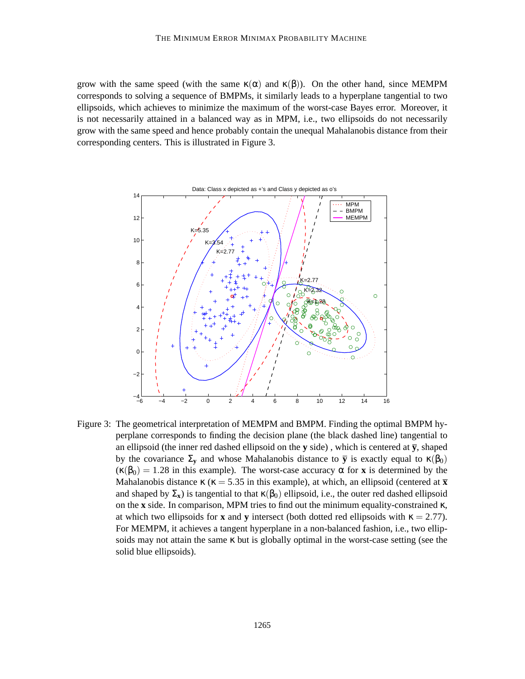grow with the same speed (with the same  $\kappa(\alpha)$  and  $\kappa(\beta)$ ). On the other hand, since MEMPM corresponds to solving a sequence of BMPMs, it similarly leads to a hyperplane tangential to two ellipsoids, which achieves to minimize the maximum of the worst-case Bayes error. Moreover, it is not necessarily attained in a balanced way as in MPM, i.e., two ellipsoids do not necessarily grow with the same speed and hence probably contain the unequal Mahalanobis distance from their corresponding centers. This is illustrated in Figure 3.



Figure 3: The geometrical interpretation of MEMPM and BMPM. Finding the optimal BMPM hyperplane corresponds to finding the decision plane (the black dashed line) tangential to an ellipsoid (the inner red dashed ellipsoid on the  $y$  side), which is centered at  $\overline{y}$ , shaped by the covariance  $\Sigma$ <sub>y</sub> and whose Mahalanobis distance to  $\bar{y}$  is exactly equal to κ(β<sub>0</sub>)  $(\kappa(\beta_0) = 1.28$  in this example). The worst-case accuracy  $\alpha$  for **x** is determined by the Mahalanobis distance  $\kappa$  ( $\kappa$  = 5.35 in this example), at which, an ellipsoid (centered at  $\bar{x}$ and shaped by  $\Sigma_{\bf x}$ ) is tangential to that  $\kappa(\beta_0)$  ellipsoid, i.e., the outer red dashed ellipsoid on the **x** side. In comparison, MPM tries to find out the minimum equality-constrained κ, at which two ellipsoids for **x** and **y** intersect (both dotted red ellipsoids with  $\kappa = 2.77$ ). For MEMPM, it achieves a tangent hyperplane in a non-balanced fashion, i.e., two ellipsoids may not attain the same  $\kappa$  but is globally optimal in the worst-case setting (see the solid blue ellipsoids).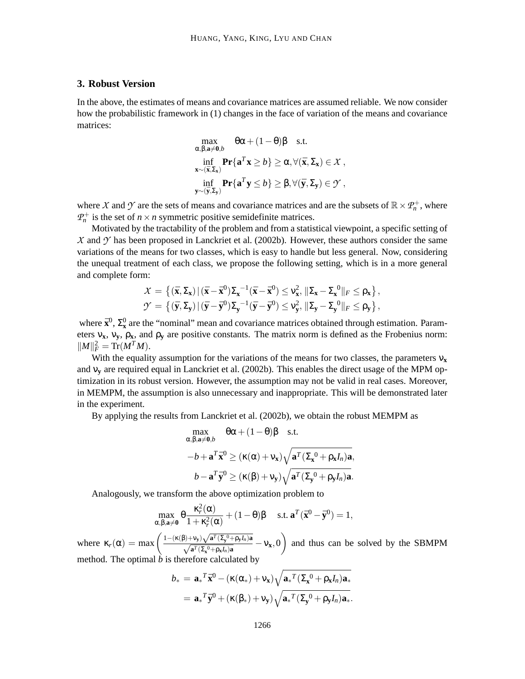### **3. Robust Version**

In the above, the estimates of means and covariance matrices are assumed reliable. We now consider how the probabilistic framework in (1) changes in the face of variation of the means and covariance matrices:

$$
\max_{\alpha,\beta,\mathbf{a}\neq\mathbf{0},b} \quad \theta\alpha + (1-\theta)\beta \quad \text{s.t.}
$$
\n
$$
\inf_{\mathbf{x}\sim(\bar{\mathbf{x}},\Sigma_{\mathbf{x}})} \mathbf{Pr}\{\mathbf{a}^T\mathbf{x}\geq b\} \geq \alpha, \forall (\bar{\mathbf{x}},\Sigma_{\mathbf{x}}) \in \mathcal{X},
$$
\n
$$
\inf_{\mathbf{y}\sim(\bar{\mathbf{y}},\Sigma_{\mathbf{y}})} \mathbf{Pr}\{\mathbf{a}^T\mathbf{y}\leq b\} \geq \beta, \forall (\bar{\mathbf{y}},\Sigma_{\mathbf{y}}) \in \mathcal{Y},
$$

where X and Y are the sets of means and covariance matrices and are the subsets of  $\mathbb{R} \times \mathcal{P}_n^+$ , where  $P_n^+$  is the set of  $n \times n$  symmetric positive semidefinite matrices.

Motivated by the tractability of the problem and from a statistical viewpoint, a specific setting of  $X$  and  $Y$  has been proposed in Lanckriet et al. (2002b). However, these authors consider the same variations of the means for two classes, which is easy to handle but less general. Now, considering the unequal treatment of each class, we propose the following setting, which is in a more general and complete form:

$$
\mathcal{X} = \left\{ (\bar{\mathbf{x}}, \Sigma_{\mathbf{x}}) | (\bar{\mathbf{x}} - \bar{\mathbf{x}}^0) \Sigma_{\mathbf{x}}^{-1} (\bar{\mathbf{x}} - \bar{\mathbf{x}}^0) \leq v_{\mathbf{x}}^2, \|\Sigma_{\mathbf{x}} - \Sigma_{\mathbf{x}}^{-0}\|_F \leq \rho_{\mathbf{x}} \right\},\
$$
  

$$
\mathcal{Y} = \left\{ (\bar{\mathbf{y}}, \Sigma_{\mathbf{y}}) | (\bar{\mathbf{y}} - \bar{\mathbf{y}}^0) \Sigma_{\mathbf{y}}^{-1} (\bar{\mathbf{y}} - \bar{\mathbf{y}}^0) \leq v_{\mathbf{y}}^2, \|\Sigma_{\mathbf{y}} - \Sigma_{\mathbf{y}}^{-0}\|_F \leq \rho_{\mathbf{y}} \right\},
$$

where  $\bar{\mathbf{x}}^0$ ,  $\Sigma_{\mathbf{x}}^0$  are the "nominal" mean and covariance matrices obtained through estimation. Parameters  $v_x$ ,  $v_y$ ,  $\rho_x$ , and  $\rho_y$  are positive constants. The matrix norm is defined as the Frobenius norm:  $||M||_F^2 = \text{Tr}(M^T M).$ 

With the equality assumption for the variations of the means for two classes, the parameters  $v_x$ and ν**<sup>y</sup>** are required equal in Lanckriet et al. (2002b). This enables the direct usage of the MPM optimization in its robust version. However, the assumption may not be valid in real cases. Moreover, in MEMPM, the assumption is also unnecessary and inappropriate. This will be demonstrated later in the experiment.

By applying the results from Lanckriet et al. (2002b), we obtain the robust MEMPM as

$$
\max_{\alpha, \beta, \mathbf{a} \neq \mathbf{0}, b} \quad \theta \alpha + (1 - \theta) \beta \quad \text{s.t.}
$$
  
-b +  $\mathbf{a}^T \bar{\mathbf{x}}^0 \ge (\kappa(\alpha) + v_x) \sqrt{\mathbf{a}^T (\Sigma_{\mathbf{x}}^0 + \rho_{\mathbf{x}} I_n) \mathbf{a}},$   
b -  $\mathbf{a}^T \bar{\mathbf{y}}^0 \ge (\kappa(\beta) + v_y) \sqrt{\mathbf{a}^T (\Sigma_{\mathbf{y}}^0 + \rho_{\mathbf{y}} I_n) \mathbf{a}}.$ 

Analogously, we transform the above optimization problem to

$$
\max_{\alpha,\beta,\mathbf{a}\neq\mathbf{0}} \theta \frac{\kappa_r^2(\alpha)}{1+\kappa_r^2(\alpha)} + (1-\theta)\beta \quad \text{s.t. } \mathbf{a}^T(\bar{\mathbf{x}}^0 - \bar{\mathbf{y}}^0) = 1,
$$

where  $\kappa_r(\alpha) = \max \left( \frac{1 - (\kappa(\beta) + v_y) \sqrt{a^T (\Sigma_y^0 + \rho_y I_n) a}}{\sqrt{a^T (\Sigma_x^0 + \rho_x I_n) a}} - v_x, 0 \right)$  and thus can be solved by the SBMPM method. The optimal *b* is therefore calculated by

$$
b_* = \mathbf{a}_*^T \bar{\mathbf{x}}^0 - (\kappa(\alpha_*) + \nu_{\mathbf{x}}) \sqrt{\mathbf{a}_*^T (\Sigma_{\mathbf{x}}^0 + \rho_{\mathbf{x}} I_n) \mathbf{a}_*}
$$
  
= 
$$
\mathbf{a}_*^T \bar{\mathbf{y}}^0 + (\kappa(\beta_*) + \nu_{\mathbf{y}}) \sqrt{\mathbf{a}_*^T (\Sigma_{\mathbf{y}}^0 + \rho_{\mathbf{y}} I_n) \mathbf{a}_*}.
$$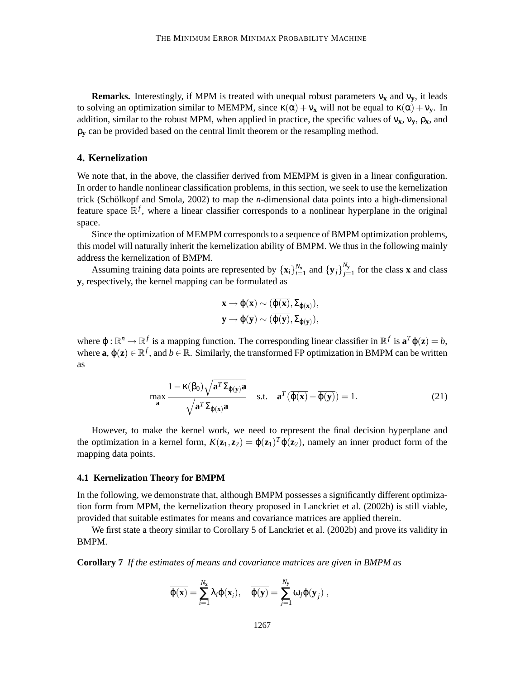**Remarks.** Interestingly, if MPM is treated with unequal robust parameters  $v_x$  and  $v_y$ , it leads to solving an optimization similar to MEMPM, since  $\kappa(\alpha) + v_x$  will not be equal to  $\kappa(\alpha) + v_y$ . In addition, similar to the robust MPM, when applied in practice, the specific values of  $v_x$ ,  $v_y$ ,  $\rho_x$ , and  $\rho_{\bf v}$  can be provided based on the central limit theorem or the resampling method.

### **4. Kernelization**

We note that, in the above, the classifier derived from MEMPM is given in a linear configuration. In order to handle nonlinear classification problems, in this section, we seek to use the kernelization trick (Schölkopf and Smola,  $2002$ ) to map the *n*-dimensional data points into a high-dimensional feature space  $\mathbb{R}^f$ , where a linear classifier corresponds to a nonlinear hyperplane in the original space.

Since the optimization of MEMPM corresponds to a sequence of BMPM optimization problems, this model will naturally inherit the kernelization ability of BMPM. We thus in the following mainly address the kernelization of BMPM.

Assuming training data points are represented by  $\{x_i\}_{i=1}^{N_x}$  and  $\{y_j\}_{j=1}^{N_y}$  $\sum_{j=1}^{y_y}$  for the class **x** and class **y**, respectively, the kernel mapping can be formulated as

$$
\begin{aligned} &x\rightarrow \phi(x)\sim (\overline{\phi(x)},\Sigma_{\phi(x)}),\\ &y\rightarrow \phi(y)\sim (\overline{\phi(y)},\Sigma_{\phi(y)}), \end{aligned}
$$

where  $\varphi : \mathbb{R}^n \to \mathbb{R}^f$  is a mapping function. The corresponding linear classifier in  $\mathbb{R}^f$  is  $\mathbf{a}^T \varphi(\mathbf{z}) = b$ , where  $\mathbf{a}, \varphi(\mathbf{z}) \in \mathbb{R}^f$ , and  $b \in \mathbb{R}$ . Similarly, the transformed FP optimization in BMPM can be written as

$$
\max_{\mathbf{a}} \frac{1 - \kappa(\beta_0) \sqrt{\mathbf{a}^T \Sigma_{\varphi(\mathbf{y})} \mathbf{a}}}{\sqrt{\mathbf{a}^T \Sigma_{\varphi(\mathbf{x})} \mathbf{a}}}
$$
 s.t.  $\mathbf{a}^T (\overline{\varphi(\mathbf{x})} - \overline{\varphi(\mathbf{y})}) = 1.$  (21)

However, to make the kernel work, we need to represent the final decision hyperplane and the optimization in a kernel form,  $K(\mathbf{z}_1, \mathbf{z}_2) = \varphi(\mathbf{z}_1)^T \varphi(\mathbf{z}_2)$ , namely an inner product form of the mapping data points.

### **4.1 Kernelization Theory for BMPM**

In the following, we demonstrate that, although BMPM possesses a significantly different optimization form from MPM, the kernelization theory proposed in Lanckriet et al. (2002b) is still viable, provided that suitable estimates for means and covariance matrices are applied therein.

We first state a theory similar to Corollary 5 of Lanckriet et al. (2002b) and prove its validity in BMPM.

**Corollary 7** *If the estimates of means and covariance matrices are given in BMPM as*

$$
\overline{\phi(\mathbf{x})} = \sum_{i=1}^{N_{\mathbf{x}}} \lambda_i \phi(\mathbf{x}_i), \quad \overline{\phi(\mathbf{y})} = \sum_{j=1}^{N_{\mathbf{y}}} \omega_j \phi(\mathbf{y}_j) ,
$$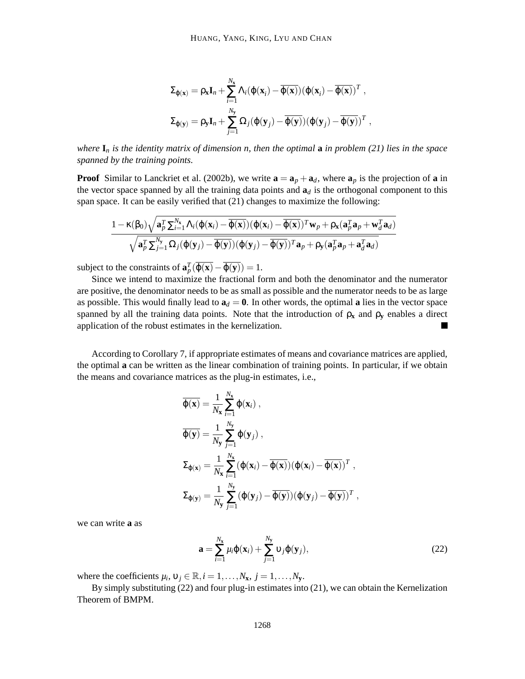$$
\begin{aligned} \boldsymbol{\Sigma}_{\boldsymbol{\varphi}(\mathbf{x})} &= \rho_{\mathbf{x}} \mathbf{I}_n + \sum_{i=1}^{N_{\mathbf{x}}} \boldsymbol{\Lambda}_i (\boldsymbol{\varphi}(\mathbf{x}_i) - \overline{\boldsymbol{\varphi}(\mathbf{x})}) (\boldsymbol{\varphi}(\mathbf{x}_i) - \overline{\boldsymbol{\varphi}(\mathbf{x})})^T \ , \\ \boldsymbol{\Sigma}_{\boldsymbol{\varphi}(\mathbf{y})} &= \rho_{\mathbf{y}} \mathbf{I}_n + \sum_{j=1}^{N_{\mathbf{y}}} \boldsymbol{\Omega}_j (\boldsymbol{\varphi}(\mathbf{y}_j) - \overline{\boldsymbol{\varphi}(\mathbf{y})}) (\boldsymbol{\varphi}(\mathbf{y}_j) - \overline{\boldsymbol{\varphi}(\mathbf{y})})^T \ , \end{aligned}
$$

*where* **I***<sup>n</sup> is the identity matrix of dimension n, then the optimal* **a** *in problem (21) lies in the space spanned by the training points.*

**Proof** Similar to Lanckriet et al. (2002b), we write  $\mathbf{a} = \mathbf{a}_p + \mathbf{a}_d$ , where  $\mathbf{a}_p$  is the projection of **a** in the vector space spanned by all the training data points and  $a_d$  is the orthogonal component to this span space. It can be easily verified that (21) changes to maximize the following:

$$
\frac{1 - \kappa(\beta_0)\sqrt{\mathbf{a}_p^T\sum_{i=1}^{N_{\mathbf{x}}}\Lambda_i(\varphi(\mathbf{x}_i) - \overline{\varphi(\mathbf{x})})(\varphi(\mathbf{x}_i) - \overline{\varphi(\mathbf{x})})^T\mathbf{w}_p + \rho_{\mathbf{x}}(\mathbf{a}_p^T\mathbf{a}_p + \mathbf{w}_d^T\mathbf{a}_d)}}{\sqrt{\mathbf{a}_p^T\sum_{j=1}^{N_{\mathbf{y}}}\Omega_j(\varphi(\mathbf{y}_j) - \overline{\varphi(\mathbf{y})})(\varphi(\mathbf{y}_j) - \overline{\varphi(\mathbf{y})})^T\mathbf{a}_p + \rho_{\mathbf{y}}(\mathbf{a}_p^T\mathbf{a}_p + \mathbf{a}_d^T\mathbf{a}_d)}}
$$

subject to the constraints of  $\mathbf{a}_p^T(\overline{\varphi(\mathbf{x})} - \overline{\varphi(\mathbf{y})}) = 1$ .

Since we intend to maximize the fractional form and both the denominator and the numerator are positive, the denominator needs to be as small as possible and the numerator needs to be as large as possible. This would finally lead to  $\mathbf{a}_d = \mathbf{0}$ . In other words, the optimal **a** lies in the vector space spanned by all the training data points. Note that the introduction of  $\rho_x$  and  $\rho_y$  enables a direct application of the robust estimates in the kernelization.  $\blacksquare$ 

According to Corollary 7, if appropriate estimates of means and covariance matrices are applied, the optimal **a** can be written as the linear combination of training points. In particular, if we obtain the means and covariance matrices as the plug-in estimates, i.e.,

$$
\overline{\varphi(\mathbf{x})} = \frac{1}{N_{\mathbf{x}}} \sum_{i=1}^{N_{\mathbf{x}}} \varphi(\mathbf{x}_i) ,
$$
  
\n
$$
\overline{\varphi(\mathbf{y})} = \frac{1}{N_{\mathbf{y}}} \sum_{j=1}^{N_{\mathbf{y}}} \varphi(\mathbf{y}_j) ,
$$
  
\n
$$
\Sigma_{\varphi(\mathbf{x})} = \frac{1}{N_{\mathbf{x}}} \sum_{i=1}^{N_{\mathbf{x}}} (\varphi(\mathbf{x}_i) - \overline{\varphi(\mathbf{x})}) (\varphi(\mathbf{x}_i) - \overline{\varphi(\mathbf{x})})^T ,
$$
  
\n
$$
\Sigma_{\varphi(\mathbf{y})} = \frac{1}{N_{\mathbf{y}}} \sum_{j=1}^{N_{\mathbf{y}}} (\varphi(\mathbf{y}_j) - \overline{\varphi(\mathbf{y})}) (\varphi(\mathbf{y}_j) - \overline{\varphi(\mathbf{y})})^T ,
$$

we can write **a** as

$$
\mathbf{a} = \sum_{i=1}^{N_{\mathbf{x}}} \mu_i \varphi(\mathbf{x}_i) + \sum_{j=1}^{N_{\mathbf{y}}} \nu_j \varphi(\mathbf{y}_j),
$$
 (22)

where the coefficients  $\mu_i$ ,  $v_j \in \mathbb{R}$ ,  $i = 1, ..., N_x$ ,  $j = 1, ..., N_y$ .

By simply substituting (22) and four plug-in estimates into (21), we can obtain the Kernelization Theorem of BMPM.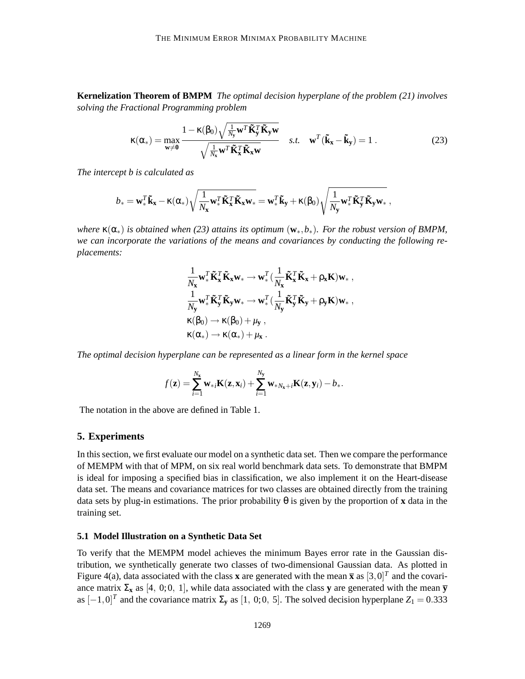**Kernelization Theorem of BMPM** *The optimal decision hyperplane of the problem (21) involves solving the Fractional Programming problem*

$$
\kappa(\alpha_*) = \max_{\mathbf{w} \neq \mathbf{0}} \frac{1 - \kappa(\beta_0) \sqrt{\frac{1}{N_\mathbf{y}} \mathbf{w}^T \tilde{\mathbf{K}}_y^T \tilde{\mathbf{K}}_y \mathbf{w}}}{\sqrt{\frac{1}{N_\mathbf{x}} \mathbf{w}^T \tilde{\mathbf{K}}_x^T \tilde{\mathbf{K}}_x \mathbf{w}}}
$$
 s.t.  $\mathbf{w}^T (\tilde{\mathbf{k}}_x - \tilde{\mathbf{k}}_y) = 1$ . (23)

*The intercept b is calculated as*

$$
b_* = \mathbf{w}_*^T \tilde{\mathbf{k}}_{\mathbf{x}} - \kappa(\alpha_*) \sqrt{\frac{1}{N_{\mathbf{x}}} \mathbf{w}_*^T \tilde{\mathbf{K}}_{\mathbf{x}}^T \tilde{\mathbf{K}}_{\mathbf{x}} \mathbf{w}_*} = \mathbf{w}_*^T \tilde{\mathbf{k}}_{\mathbf{y}} + \kappa(\beta_0) \sqrt{\frac{1}{N_{\mathbf{y}}} \mathbf{w}_*^T \tilde{\mathbf{K}}_{\mathbf{y}}^T \tilde{\mathbf{K}}_{\mathbf{y}} \mathbf{w}_*},
$$

*where* κ(α∗) *is obtained when (23) attains its optimum* (**w**∗,*b*∗)*. For the robust version of BMPM, we can incorporate the variations of the means and covariances by conducting the following replacements:*

$$
\begin{aligned} &\frac{1}{N_{\mathbf{x}}} \mathbf{w}^T_* \mathbf{\tilde{K}}_{\mathbf{x}}^T \mathbf{\tilde{K}}_{\mathbf{x}} \mathbf{w}_* \rightarrow \mathbf{w}^T_* \big( \frac{1}{N_{\mathbf{x}}} \mathbf{\tilde{K}}_{\mathbf{x}}^T \mathbf{\tilde{K}}_{\mathbf{x}} + \rho_{\mathbf{x}} \mathbf{K} \big) \mathbf{w}_* \;, \\ &\frac{1}{N_{\mathbf{y}}} \mathbf{w}^T_* \mathbf{\tilde{K}}_{\mathbf{y}}^T \mathbf{\tilde{K}}_{\mathbf{y}} \mathbf{w}_* \rightarrow \mathbf{w}^T_* \big( \frac{1}{N_{\mathbf{y}}} \mathbf{\tilde{K}}_{\mathbf{y}}^T \mathbf{\tilde{K}}_{\mathbf{y}} + \rho_{\mathbf{y}} \mathbf{K} \big) \mathbf{w}_* \;, \\ &\kappa(\beta_0) \rightarrow \kappa(\beta_0) + \mu_{\mathbf{y}} \;, \\ &\kappa(\alpha_*) \rightarrow \kappa(\alpha_*) + \mu_{\mathbf{x}} \;. \end{aligned}
$$

*The optimal decision hyperplane can be represented as a linear form in the kernel space*

$$
f(\mathbf{z}) = \sum_{i=1}^{N_{\mathbf{x}}} \mathbf{w}_{*i} \mathbf{K}(\mathbf{z}, \mathbf{x}_i) + \sum_{i=1}^{N_{\mathbf{y}}} \mathbf{w}_{*N_{\mathbf{x}}+i} \mathbf{K}(\mathbf{z}, \mathbf{y}_i) - b_*.
$$

The notation in the above are defined in Table 1.

### **5. Experiments**

In this section, we first evaluate our model on a synthetic data set. Then we compare the performance of MEMPM with that of MPM, on six real world benchmark data sets. To demonstrate that BMPM is ideal for imposing a specified bias in classification, we also implement it on the Heart-disease data set. The means and covariance matrices for two classes are obtained directly from the training data sets by plug-in estimations. The prior probability θ is given by the proportion of **x** data in the training set.

### **5.1 Model Illustration on a Synthetic Data Set**

To verify that the MEMPM model achieves the minimum Bayes error rate in the Gaussian distribution, we synthetically generate two classes of two-dimensional Gaussian data. As plotted in Figure 4(a), data associated with the class **x** are generated with the mean  $\bar{x}$  as  $[3,0]^T$  and the covariance matrix  $\Sigma_{\bf x}$  as [4, 0;0, 1], while data associated with the class **y** are generated with the mean  $\overline{\bf y}$ as  $[-1,0]^T$  and the covariance matrix  $\Sigma$ <sub>y</sub> as [1, 0;0, 5]. The solved decision hyperplane *Z*<sub>1</sub> = 0.333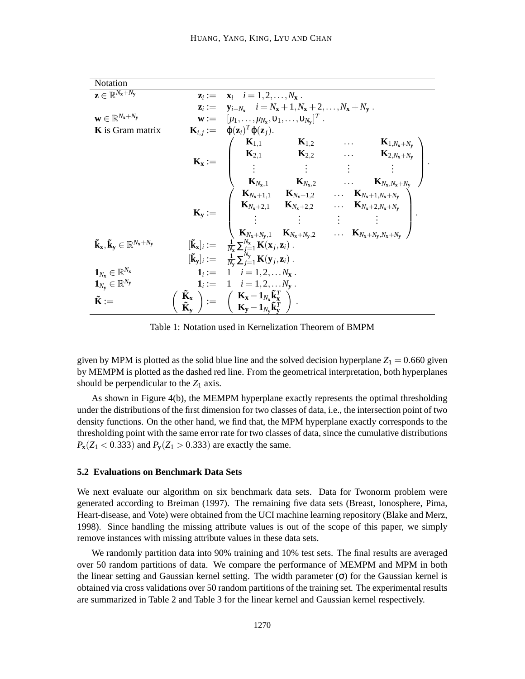| Notation                                                                                    |                                                                                                                                                                                                                                                                                                                                                                                                                                                  |
|---------------------------------------------------------------------------------------------|--------------------------------------------------------------------------------------------------------------------------------------------------------------------------------------------------------------------------------------------------------------------------------------------------------------------------------------------------------------------------------------------------------------------------------------------------|
| $\mathbf{z} \in \mathbb{R}^{N_{\mathbf{x}}+N_{\mathbf{y}}}$                                 | $\mathbf{z}_i := \mathbf{x}_i \quad i = 1, 2, \ldots, N_{\mathbf{x}}$ .                                                                                                                                                                                                                                                                                                                                                                          |
|                                                                                             | $z_i := y_{i-N_x}$ $i = N_x + 1, N_x + 2, , N_x + N_y$ .                                                                                                                                                                                                                                                                                                                                                                                         |
| $\mathbf{w} \in \mathbb{R}^{N_\mathbf{x}+N_\mathbf{y}}$                                     | $\mathbf{w} := [\mu_1, \ldots, \mu_{N_x}, \nu_1, \ldots, \nu_{N_v}]^T$ .                                                                                                                                                                                                                                                                                                                                                                         |
| <b>K</b> is Gram matrix                                                                     | $\mathbf{K}_{i,j} := \varphi(\mathbf{z}_i)^T \varphi(\mathbf{z}_j).$                                                                                                                                                                                                                                                                                                                                                                             |
|                                                                                             |                                                                                                                                                                                                                                                                                                                                                                                                                                                  |
|                                                                                             |                                                                                                                                                                                                                                                                                                                                                                                                                                                  |
|                                                                                             | $\mathbf{K}_{\mathbf{x}} := \begin{pmatrix} \mathbf{K}_{1,1} & \mathbf{K}_{1,2} & \dots & \mathbf{K}_{1,N_{\mathbf{x}}+N_{\mathbf{y}}} \\ \mathbf{K}_{2,1} & \mathbf{K}_{2,2} & \dots & \mathbf{K}_{2,N_{\mathbf{x}}+N_{\mathbf{y}}} \\ \vdots & \vdots & \vdots & \vdots \\ \mathbf{K}_{N_{\mathbf{x}},1} & \mathbf{K}_{N_{\mathbf{x}},2} & \dots & \mathbf{K}_{N_{\mathbf{x}},N_{\mathbf{x}}+N_{\mathbf{y}}} \end{pmatrix}.$                   |
|                                                                                             |                                                                                                                                                                                                                                                                                                                                                                                                                                                  |
|                                                                                             |                                                                                                                                                                                                                                                                                                                                                                                                                                                  |
|                                                                                             |                                                                                                                                                                                                                                                                                                                                                                                                                                                  |
|                                                                                             |                                                                                                                                                                                                                                                                                                                                                                                                                                                  |
|                                                                                             |                                                                                                                                                                                                                                                                                                                                                                                                                                                  |
|                                                                                             | $\mathbf{K}_{\mathbf{y}} := \left( \begin{array}{cccc} \mathbf{K}_{N_{\mathbf{x}}+1,1} & \mathbf{K}_{N_{\mathbf{x}}+1,2} & \dots & \mathbf{K}_{N_{\mathbf{x}}+1,N_{\mathbf{x}}+N_{\mathbf{y}}}\ \mathbf{K}_{N_{\mathbf{x}}+2,1} & \mathbf{K}_{N_{\mathbf{x}}+2,2} & \dots & \mathbf{K}_{N_{\mathbf{x}}+2,N_{\mathbf{x}}+N_{\mathbf{y}}}\ \vdots & \vdots & \vdots & \vdots\ \mathbf{K}_{N_{\mathbf{x}}+N_{\mathbf{y}},1} & \mathbf{K}_{N_{\math$ |
| $\mathbf{\tilde{k}_x}, \mathbf{\tilde{k}_v} \in \mathbb{R}^{N_{\mathbf{x}}+N_{\mathbf{y}}}$ | $[\tilde{\mathbf{k}}_{\mathbf{x}}]_i := \frac{1}{N_{\mathbf{x}}} \sum_{j=1}^{N_{\mathbf{x}}} \mathbf{K}(\mathbf{x}_j, \mathbf{z}_i).$<br>$[\tilde{\mathbf{k}}_{\mathbf{y}}]_i := \frac{1}{N_{\mathbf{y}}} \sum_{j=1}^{N_{\mathbf{y}}} \mathbf{K}(\mathbf{y}_j, \mathbf{z}_i).$                                                                                                                                                                   |
|                                                                                             |                                                                                                                                                                                                                                                                                                                                                                                                                                                  |
| $\mathbf{1}_{N_{\mathrm{x}}} \in \mathbb{R}^{N_{\mathrm{x}}}$                               | $1_i := 1 \quad i = 1, 2, \ldots N_x$ .                                                                                                                                                                                                                                                                                                                                                                                                          |
| $\mathbf{1}_{N_\mathbf{y}} \in \mathbb{R}^{N_\mathbf{y}}$                                   | $1_i := 1 \quad i = 1, 2, \ldots N_v$ .                                                                                                                                                                                                                                                                                                                                                                                                          |
| $\tilde{\mathbf{K}} :=$                                                                     | $\left(\begin{array}{c} \tilde{\mathbf{K}}_{\mathbf{x}} \\ \tilde{\mathbf{K}}_{\mathbf{y}} \end{array}\right) := \left(\begin{array}{c} \mathbf{K}_{\mathbf{x}} - \mathbf{1}_{N_{\mathbf{x}}} \tilde{\mathbf{k}}_{\mathbf{x}}^T \\ \mathbf{K}_{\mathbf{y}} - \mathbf{1}_{N_{\mathbf{y}}} \tilde{\mathbf{k}}_{\mathbf{y}}^T \end{array}\right).$                                                                                                  |
|                                                                                             |                                                                                                                                                                                                                                                                                                                                                                                                                                                  |

Table 1: Notation used in Kernelization Theorem of BMPM

given by MPM is plotted as the solid blue line and the solved decision hyperplane  $Z_1 = 0.660$  given by MEMPM is plotted as the dashed red line. From the geometrical interpretation, both hyperplanes should be perpendicular to the  $Z_1$  axis.

As shown in Figure 4(b), the MEMPM hyperplane exactly represents the optimal thresholding under the distributions of the first dimension for two classes of data, i.e., the intersection point of two density functions. On the other hand, we find that, the MPM hyperplane exactly corresponds to the thresholding point with the same error rate for two classes of data, since the cumulative distributions  $P_{\bf x}$ ( $Z_1$  < 0.333) and  $P_{\bf y}$ ( $Z_1$  > 0.333) are exactly the same.

### **5.2 Evaluations on Benchmark Data Sets**

We next evaluate our algorithm on six benchmark data sets. Data for Twonorm problem were generated according to Breiman (1997). The remaining five data sets (Breast, Ionosphere, Pima, Heart-disease, and Vote) were obtained from the UCI machine learning repository (Blake and Merz, 1998). Since handling the missing attribute values is out of the scope of this paper, we simply remove instances with missing attribute values in these data sets.

We randomly partition data into 90% training and 10% test sets. The final results are averaged over 50 random partitions of data. We compare the performance of MEMPM and MPM in both the linear setting and Gaussian kernel setting. The width parameter  $(\sigma)$  for the Gaussian kernel is obtained via cross validations over 50 random partitions of the training set. The experimental results are summarized in Table 2 and Table 3 for the linear kernel and Gaussian kernel respectively.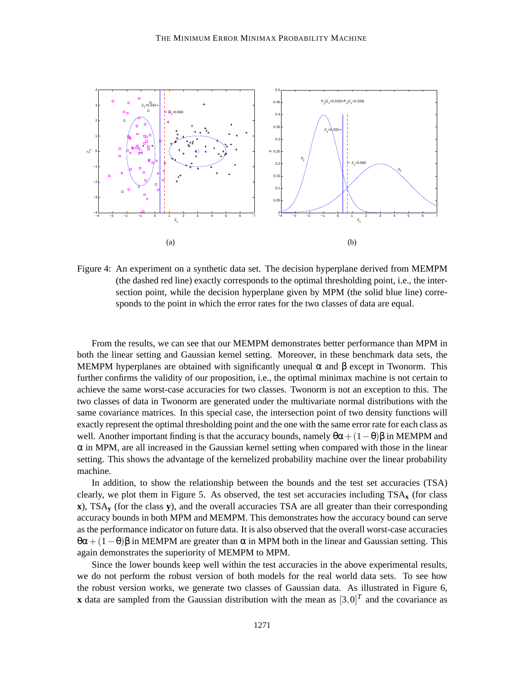

Figure 4: An experiment on a synthetic data set. The decision hyperplane derived from MEMPM (the dashed red line) exactly corresponds to the optimal thresholding point, i.e., the intersection point, while the decision hyperplane given by MPM (the solid blue line) corresponds to the point in which the error rates for the two classes of data are equal.

From the results, we can see that our MEMPM demonstrates better performance than MPM in both the linear setting and Gaussian kernel setting. Moreover, in these benchmark data sets, the MEMPM hyperplanes are obtained with significantly unequal  $\alpha$  and  $\beta$  except in Twonorm. This further confirms the validity of our proposition, i.e., the optimal minimax machine is not certain to achieve the same worst-case accuracies for two classes. Twonorm is not an exception to this. The two classes of data in Twonorm are generated under the multivariate normal distributions with the same covariance matrices. In this special case, the intersection point of two density functions will exactly represent the optimal thresholding point and the one with the same error rate for each class as well. Another important finding is that the accuracy bounds, namely  $\theta\alpha + (1-\theta)\beta$  in MEMPM and  $\alpha$  in MPM, are all increased in the Gaussian kernel setting when compared with those in the linear setting. This shows the advantage of the kernelized probability machine over the linear probability machine.

In addition, to show the relationship between the bounds and the test set accuracies (TSA) clearly, we plot them in Figure 5. As observed, the test set accuracies including TSA**<sup>x</sup>** (for class **x**), TSA**<sup>y</sup>** (for the class **y**), and the overall accuracies TSA are all greater than their corresponding accuracy bounds in both MPM and MEMPM. This demonstrates how the accuracy bound can serve as the performance indicator on future data. It is also observed that the overall worst-case accuracies  $\theta\alpha + (1-\theta)\beta$  in MEMPM are greater than  $\alpha$  in MPM both in the linear and Gaussian setting. This again demonstrates the superiority of MEMPM to MPM.

Since the lower bounds keep well within the test accuracies in the above experimental results, we do not perform the robust version of both models for the real world data sets. To see how the robust version works, we generate two classes of Gaussian data. As illustrated in Figure 6, **x** data are sampled from the Gaussian distribution with the mean as  $[3,0]^T$  and the covariance as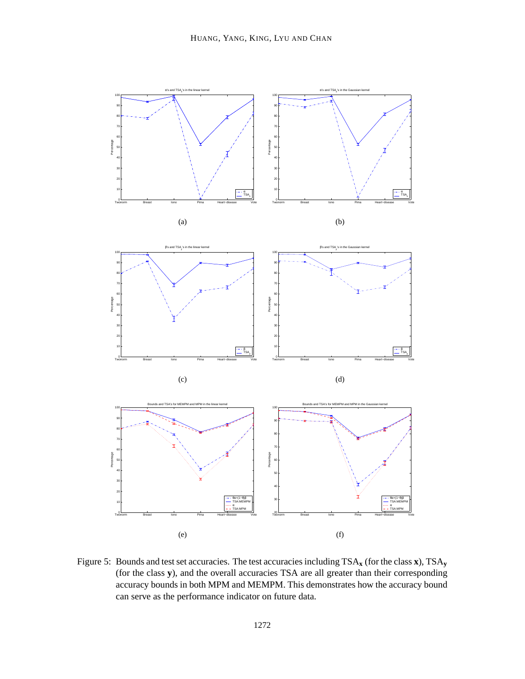

Figure 5: Bounds and test set accuracies. The test accuracies including TSA**<sup>x</sup>** (for the class **x**), TSA**<sup>y</sup>** (for the class **y**), and the overall accuracies TSA are all greater than their corresponding accuracy bounds in both MPM and MEMPM. This demonstrates how the accuracy bound can serve as the performance indicator on future data.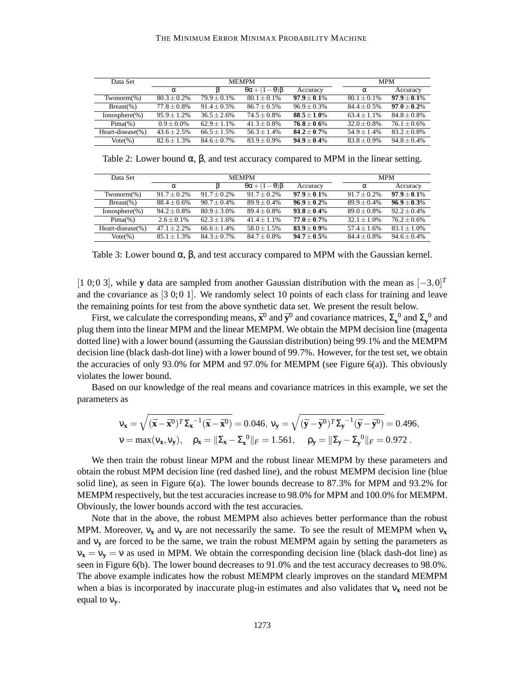#### THE MINIMUM ERROR MINIMAX PROBABILITY MACHINE

| Data Set          | <b>MEMPM</b>   |                |                                  |                |                | <b>MPM</b>       |  |
|-------------------|----------------|----------------|----------------------------------|----------------|----------------|------------------|--|
|                   | $\alpha$       |                | $\theta\alpha + (1-\theta)\beta$ | Accuracy       | $\alpha$       | Accuracy         |  |
| $Twonom(\%)$      | $80.3 + 0.2\%$ | $79.9 + 0.1\%$ | $80.1 + 0.1\%$                   | $97.9 + 0.1\%$ | $80.1 + 0.1\%$ | $97.9 + 0.1\%$   |  |
| $Breat(\%)$       | $77.8 + 0.8\%$ | $91.4 + 0.5\%$ | $86.7 + 0.5\%$                   | $96.9 + 0.3\%$ | $84.4 + 0.5\%$ | $97.0 + 0.2\%$   |  |
| $Ionosphere$ (%)  | $95.9 + 1.2%$  | $36.5 + 2.6\%$ | $74.5 + 0.8\%$                   | $88.5 + 1.0\%$ | $63.4 + 1.1%$  | $84.8 + 0.8\%$   |  |
| $Pima(\%)$        | $0.9 + 0.0\%$  | $62.9 + 1.1\%$ | $41.3 + 0.8\%$                   | $76.8 + 0.6\%$ | $32.0 + 0.8\%$ | $76.1 + 0.6\%$   |  |
| Heart-disease(%)  | $43.6 + 2.5%$  | $66.5 + 1.5%$  | $56.3 + 1.4%$                    | $84.2 + 0.7\%$ | $54.9 + 1.4%$  | $83.2 \pm 0.8\%$ |  |
| $\text{Vote}(\%)$ | $82.6 + 1.3%$  | $84.6 + 0.7\%$ | $83.9 + 0.9\%$                   | $94.9 + 0.4\%$ | $83.8 + 0.9\%$ | $94.8 + 0.4\%$   |  |

Table 2: Lower bound  $\alpha$ ,  $\beta$ , and test accuracy compared to MPM in the linear setting.

| Data Set          | <b>MEMPM</b>   |                |                                  |                |                | <b>MPM</b>     |  |
|-------------------|----------------|----------------|----------------------------------|----------------|----------------|----------------|--|
|                   | $\alpha$       |                | $\theta\alpha + (1-\theta)\beta$ | Accuracy       | $\alpha$       | Accuracy       |  |
| $Twonom(\% )$     | $91.7 + 0.2\%$ | $91.7 + 0.2\%$ | $91.7 + 0.2\%$                   | $97.9 + 0.1\%$ | $91.7 + 0.2\%$ | $97.9 + 0.1\%$ |  |
| $Breat(\%)$       | $88.4 + 0.6\%$ | $90.7 + 0.4\%$ | $89.9 + 0.4\%$                   | $96.9 + 0.2\%$ | $89.9 + 0.4\%$ | $96.9 + 0.3%$  |  |
| $Ionosphere$ (%)  | $94.2 + 0.8\%$ | $80.9 + 3.0\%$ | $89.4 + 0.8\%$                   | $93.8 + 0.4\%$ | $89.0 + 0.8\%$ | $92.2 + 0.4\%$ |  |
| $Pima(\%)$        | $2.6 + 0.1\%$  | $62.3 + 1.6\%$ | $41.4 + 1.1%$                    | $77.0 + 0.7\%$ | $32.1 + 1.0\%$ | $76.2 + 0.6\%$ |  |
| Heart-disease(%)  | $47.1 + 2.2%$  | $66.6 + 1.4%$  | $58.0 + 1.5%$                    | $83.9 + 0.9\%$ | $57.4 + 1.6%$  | $83.1 + 1.0\%$ |  |
| $\text{Vote}(\%)$ | $85.1 + 1.3%$  | $84.3 + 0.7\%$ | $84.7 + 0.8\%$                   | $94.7 + 0.5\%$ | $84.4 + 0.8\%$ | $94.6 + 0.4%$  |  |

Table 3: Lower bound  $\alpha$ ,  $\beta$ , and test accuracy compared to MPM with the Gaussian kernel.

[1 0;0 3], while **y** data are sampled from another Gaussian distribution with the mean as [−3,0] *T* and the covariance as  $[3\ 0;0\ 1]$ . We randomly select 10 points of each class for training and leave the remaining points for test from the above synthetic data set. We present the result below.

First, we calculate the corresponding means,  $\bar{\mathbf{x}}^0$  and  $\bar{\mathbf{y}}^0$  and covariance matrices,  $\Sigma_{\mathbf{x}}^0$  and  $\Sigma_{\mathbf{y}}^0$  and plug them into the linear MPM and the linear MEMPM. We obtain the MPM decision line (magenta dotted line) with a lower bound (assuming the Gaussian distribution) being 99.1% and the MEMPM decision line (black dash-dot line) with a lower bound of 99.7%. However, for the test set, we obtain the accuracies of only 93.0% for MPM and 97.0% for MEMPM (see Figure 6(a)). This obviously violates the lower bound.

Based on our knowledge of the real means and covariance matrices in this example, we set the parameters as

$$
\mathbf{v}_{\mathbf{x}} = \sqrt{(\bar{\mathbf{x}} - \bar{\mathbf{x}}^0)^T \Sigma_{\mathbf{x}}^{-1} (\bar{\mathbf{x}} - \bar{\mathbf{x}}^0)} = 0.046, \mathbf{v}_{\mathbf{y}} = \sqrt{(\bar{\mathbf{y}} - \bar{\mathbf{y}}^0)^T \Sigma_{\mathbf{y}}^{-1} (\bar{\mathbf{y}} - \bar{\mathbf{y}}^0)} = 0.496, \mathbf{v} = \max(\mathbf{v}_{\mathbf{x}}, \mathbf{v}_{\mathbf{y}}), \quad \rho_{\mathbf{x}} = \|\Sigma_{\mathbf{x}} - \Sigma_{\mathbf{x}}^0\|_F = 1.561, \quad \rho_{\mathbf{y}} = \|\Sigma_{\mathbf{y}} - \Sigma_{\mathbf{y}}^0\|_F = 0.972.
$$

We then train the robust linear MPM and the robust linear MEMPM by these parameters and obtain the robust MPM decision line (red dashed line), and the robust MEMPM decision line (blue solid line), as seen in Figure  $6(a)$ . The lower bounds decrease to 87.3% for MPM and 93.2% for MEMPM respectively, but the test accuracies increase to 98.0% for MPM and 100.0% for MEMPM. Obviously, the lower bounds accord with the test accuracies.

Note that in the above, the robust MEMPM also achieves better performance than the robust MPM. Moreover, ν**<sup>x</sup>** and ν**<sup>y</sup>** are not necessarily the same. To see the result of MEMPM when ν**<sup>x</sup>** and ν**<sup>y</sup>** are forced to be the same, we train the robust MEMPM again by setting the parameters as  $v_x = v_y = v$  as used in MPM. We obtain the corresponding decision line (black dash-dot line) as seen in Figure 6(b). The lower bound decreases to 91.0% and the test accuracy decreases to 98.0%. The above example indicates how the robust MEMPM clearly improves on the standard MEMPM when a bias is incorporated by inaccurate plug-in estimates and also validates that ν**<sup>x</sup>** need not be equal to ν**y**.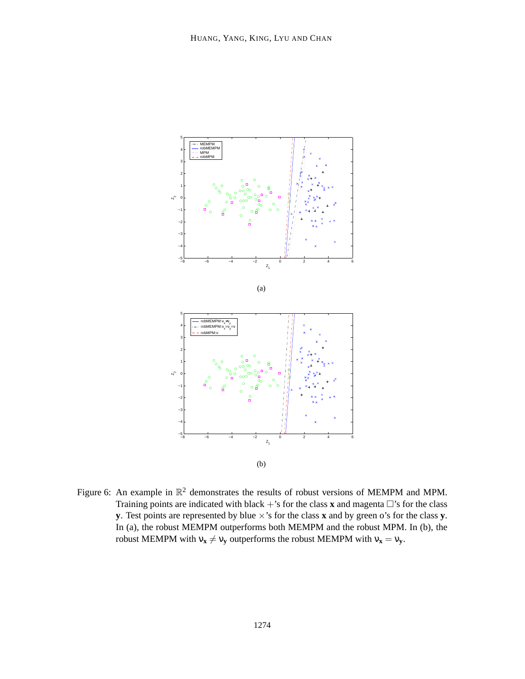

Figure 6: An example in  $\mathbb{R}^2$  demonstrates the results of robust versions of MEMPM and MPM. Training points are indicated with black  $+$ 's for the class **x** and magenta  $\Box$ 's for the class **y**. Test points are represented by blue ×'s for the class **x** and by green o's for the class **y**. In (a), the robust MEMPM outperforms both MEMPM and the robust MPM. In (b), the robust MEMPM with  $v_x \neq v_y$  outperforms the robust MEMPM with  $v_x = v_y$ .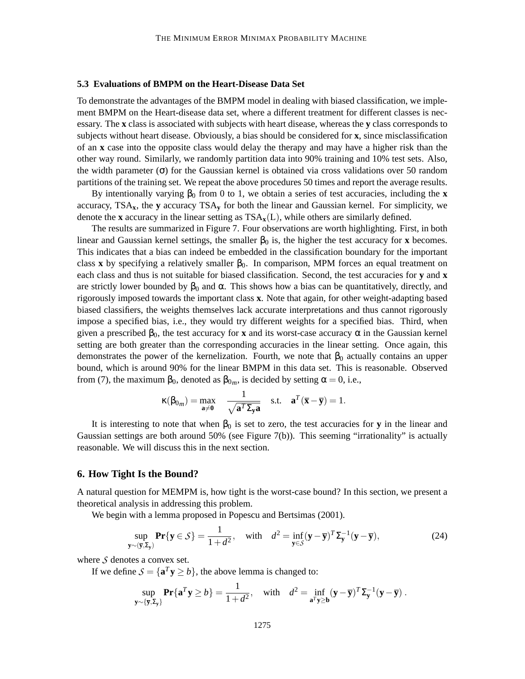### **5.3 Evaluations of BMPM on the Heart-Disease Data Set**

To demonstrate the advantages of the BMPM model in dealing with biased classification, we implement BMPM on the Heart-disease data set, where a different treatment for different classes is necessary. The **x** class is associated with subjects with heart disease, whereas the **y** class corresponds to subjects without heart disease. Obviously, a bias should be considered for **x**, since misclassification of an **x** case into the opposite class would delay the therapy and may have a higher risk than the other way round. Similarly, we randomly partition data into 90% training and 10% test sets. Also, the width parameter ( $\sigma$ ) for the Gaussian kernel is obtained via cross validations over 50 random partitions of the training set. We repeat the above procedures 50 times and report the average results.

By intentionally varying  $\beta_0$  from 0 to 1, we obtain a series of test accuracies, including the **x** accuracy,  $TSA_x$ , the **y** accuracy  $TSA_y$  for both the linear and Gaussian kernel. For simplicity, we denote the **x** accuracy in the linear setting as  $TSA_x(L)$ , while others are similarly defined.

The results are summarized in Figure 7. Four observations are worth highlighting. First, in both linear and Gaussian kernel settings, the smaller  $\beta_0$  is, the higher the test accuracy for **x** becomes. This indicates that a bias can indeed be embedded in the classification boundary for the important class **x** by specifying a relatively smaller  $\beta_0$ . In comparison, MPM forces an equal treatment on each class and thus is not suitable for biased classification. Second, the test accuracies for **y** and **x** are strictly lower bounded by  $\beta_0$  and  $\alpha$ . This shows how a bias can be quantitatively, directly, and rigorously imposed towards the important class **x**. Note that again, for other weight-adapting based biased classifiers, the weights themselves lack accurate interpretations and thus cannot rigorously impose a specified bias, i.e., they would try different weights for a specified bias. Third, when given a prescribed  $\beta_0$ , the test accuracy for **x** and its worst-case accuracy  $\alpha$  in the Gaussian kernel setting are both greater than the corresponding accuracies in the linear setting. Once again, this demonstrates the power of the kernelization. Fourth, we note that  $\beta_0$  actually contains an upper bound, which is around 90% for the linear BMPM in this data set. This is reasonable. Observed from (7), the maximum  $\beta_0$ , denoted as  $\beta_{0m}$ , is decided by setting  $\alpha = 0$ , i.e.,

$$
\kappa(\beta_{0_m}) = \max_{\mathbf{a} \neq \mathbf{0}} \quad \frac{1}{\sqrt{\mathbf{a}^T \Sigma_{\mathbf{y}} \mathbf{a}}} \quad \text{s.t.} \quad \mathbf{a}^T(\overline{\mathbf{x}} - \overline{\mathbf{y}}) = 1.
$$

It is interesting to note that when  $\beta_0$  is set to zero, the test accuracies for **y** in the linear and Gaussian settings are both around 50% (see Figure 7(b)). This seeming "irrationality" is actually reasonable. We will discuss this in the next section.

## **6. How Tight Is the Bound?**

A natural question for MEMPM is, how tight is the worst-case bound? In this section, we present a theoretical analysis in addressing this problem.

We begin with a lemma proposed in Popescu and Bertsimas (2001).

$$
\sup_{\mathbf{y} \sim (\overline{\mathbf{y}}, \Sigma_{\mathbf{y}})} \mathbf{Pr}\{\mathbf{y} \in \mathcal{S}\} = \frac{1}{1 + d^2}, \quad \text{with} \quad d^2 = \inf_{\mathbf{y} \in \mathcal{S}} (\mathbf{y} - \overline{\mathbf{y}})^T \Sigma_{\mathbf{y}}^{-1} (\mathbf{y} - \overline{\mathbf{y}}), \tag{24}
$$

where  $S$  denotes a convex set.

If we define  $S = {\mathbf{a}^T \mathbf{y} \ge b}$ , the above lemma is changed to:

$$
\sup_{\mathbf{y}\sim\{\overline{\mathbf{y}},\Sigma_{\mathbf{y}}\}}\mathbf{Pr}\{\mathbf{a}^T\mathbf{y}\geq b\}=\frac{1}{1+d^2}, \quad \text{with} \quad d^2=\inf_{\mathbf{a}^T\mathbf{y}\geq\mathbf{b}}(\mathbf{y}-\overline{\mathbf{y}})^T\Sigma_{\mathbf{y}}^{-1}(\mathbf{y}-\overline{\mathbf{y}}).
$$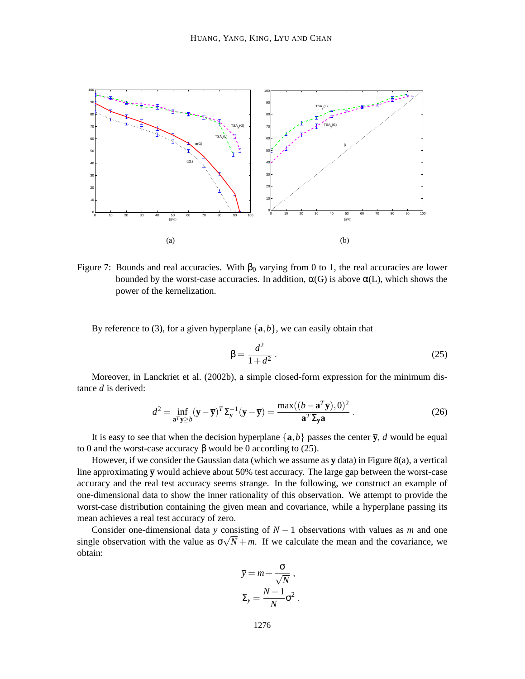

Figure 7: Bounds and real accuracies. With  $β_0$  varying from 0 to 1, the real accuracies are lower bounded by the worst-case accuracies. In addition,  $\alpha(G)$  is above  $\alpha(L)$ , which shows the power of the kernelization.

By reference to (3), for a given hyperplane  $\{a,b\}$ , we can easily obtain that

$$
\beta = \frac{d^2}{1+d^2} \,. \tag{25}
$$

Moreover, in Lanckriet et al. (2002b), a simple closed-form expression for the minimum distance *d* is derived:

$$
d^{2} = \inf_{\mathbf{a}^{T}\mathbf{y} \geq b} (\mathbf{y} - \overline{\mathbf{y}})^{T} \Sigma_{\mathbf{y}}^{-1} (\mathbf{y} - \overline{\mathbf{y}}) = \frac{\max((b - \mathbf{a}^{T}\overline{\mathbf{y}}), 0)^{2}}{\mathbf{a}^{T} \Sigma_{\mathbf{y}} \mathbf{a}}.
$$
 (26)

It is easy to see that when the decision hyperplane  $\{a,b\}$  passes the center  $\overline{y}$ , *d* would be equal to 0 and the worst-case accuracy β would be 0 according to (25).

However, if we consider the Gaussian data (which we assume as **y** data) in Figure 8(a), a vertical line approximating  $\bar{y}$  would achieve about 50% test accuracy. The large gap between the worst-case accuracy and the real test accuracy seems strange. In the following, we construct an example of one-dimensional data to show the inner rationality of this observation. We attempt to provide the worst-case distribution containing the given mean and covariance, while a hyperplane passing its mean achieves a real test accuracy of zero.

Consider one-dimensional data *y* consisting of *N* − 1 observations with values as *m* and one single observation with the value as  $\sigma\sqrt{N} + m$ . If we calculate the mean and the covariance, we obtain:

$$
\overline{y} = m + \frac{\sigma}{\sqrt{N}},
$$

$$
\Sigma_y = \frac{N-1}{N}\sigma^2.
$$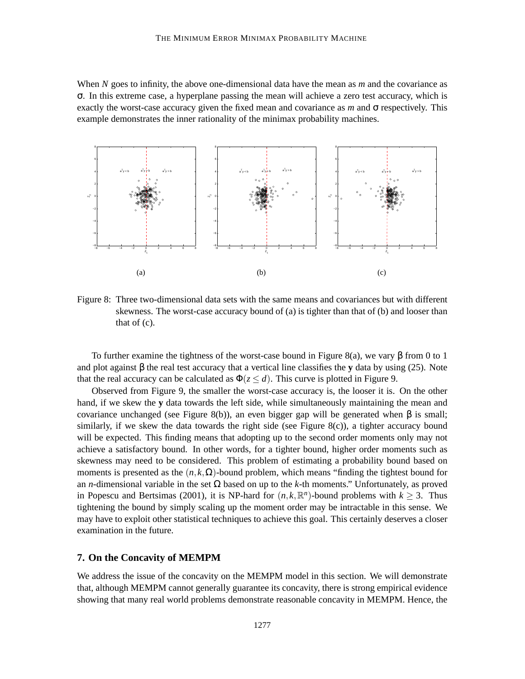When *N* goes to infinity, the above one-dimensional data have the mean as *m* and the covariance as σ. In this extreme case, a hyperplane passing the mean will achieve a zero test accuracy, which is exactly the worst-case accuracy given the fixed mean and covariance as *m* and σ respectively. This example demonstrates the inner rationality of the minimax probability machines.



Figure 8: Three two-dimensional data sets with the same means and covariances but with different skewness. The worst-case accuracy bound of (a) is tighter than that of (b) and looser than that of (c).

To further examine the tightness of the worst-case bound in Figure 8(a), we vary  $\beta$  from 0 to 1 and plot against  $\beta$  the real test accuracy that a vertical line classifies the **y** data by using (25). Note that the real accuracy can be calculated as  $\Phi(z \leq d)$ . This curve is plotted in Figure 9.

Observed from Figure 9, the smaller the worst-case accuracy is, the looser it is. On the other hand, if we skew the **y** data towards the left side, while simultaneously maintaining the mean and covariance unchanged (see Figure 8(b)), an even bigger gap will be generated when β is small; similarly, if we skew the data towards the right side (see Figure  $8(c)$ ), a tighter accuracy bound will be expected. This finding means that adopting up to the second order moments only may not achieve a satisfactory bound. In other words, for a tighter bound, higher order moments such as skewness may need to be considered. This problem of estimating a probability bound based on moments is presented as the  $(n, k, \Omega)$ -bound problem, which means "finding the tightest bound for an *n*-dimensional variable in the set Ω based on up to the *k*-th moments." Unfortunately, as proved in Popescu and Bertsimas (2001), it is NP-hard for  $(n, k, \mathbb{R}^n)$ -bound problems with  $k \geq 3$ . Thus tightening the bound by simply scaling up the moment order may be intractable in this sense. We may have to exploit other statistical techniques to achieve this goal. This certainly deserves a closer examination in the future.

### **7. On the Concavity of MEMPM**

We address the issue of the concavity on the MEMPM model in this section. We will demonstrate that, although MEMPM cannot generally guarantee its concavity, there is strong empirical evidence showing that many real world problems demonstrate reasonable concavity in MEMPM. Hence, the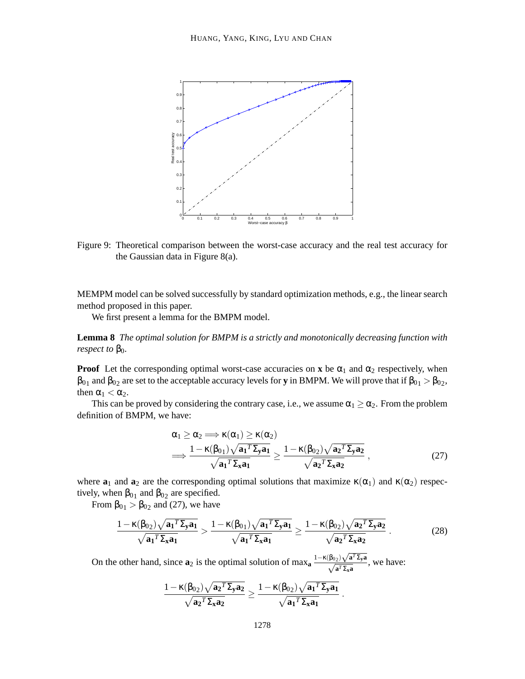

Figure 9: Theoretical comparison between the worst-case accuracy and the real test accuracy for the Gaussian data in Figure 8(a).

MEMPM model can be solved successfully by standard optimization methods, e.g., the linear search method proposed in this paper.

We first present a lemma for the BMPM model.

**Lemma 8** *The optimal solution for BMPM is a strictly and monotonically decreasing function with respect to*  $\beta_0$ *.* 

**Proof** Let the corresponding optimal worst-case accuracies on **x** be  $\alpha_1$  and  $\alpha_2$  respectively, when  $\beta_{01}$  and  $\beta_{02}$  are set to the acceptable accuracy levels for **y** in BMPM. We will prove that if  $\beta_{01} > \beta_{02}$ , then  $\alpha_1 < \alpha_2$ .

This can be proved by considering the contrary case, i.e., we assume  $\alpha_1 \ge \alpha_2$ . From the problem definition of BMPM, we have:

$$
\alpha_1 \geq \alpha_2 \Longrightarrow \kappa(\alpha_1) \geq \kappa(\alpha_2) \n\Longrightarrow \frac{1 - \kappa(\beta_{01}) \sqrt{a_1^T \Sigma_y a_1}}{\sqrt{a_1^T \Sigma_x a_1}} \geq \frac{1 - \kappa(\beta_{02}) \sqrt{a_2^T \Sigma_y a_2}}{\sqrt{a_2^T \Sigma_x a_2}} ,
$$
\n(27)

.

where  $\mathbf{a}_1$  and  $\mathbf{a}_2$  are the corresponding optimal solutions that maximize  $\kappa(\alpha_1)$  and  $\kappa(\alpha_2)$  respectively, when  $\beta_{01}$  and  $\beta_{02}$  are specified.

From  $\beta_{01} > \beta_{02}$  and (27), we have

$$
\frac{1 - \kappa(\beta_{02})\sqrt{a_1^T \Sigma_y a_1}}{\sqrt{a_1^T \Sigma_x a_1}} > \frac{1 - \kappa(\beta_{01})\sqrt{a_1^T \Sigma_y a_1}}{\sqrt{a_1^T \Sigma_x a_1}} \ge \frac{1 - \kappa(\beta_{02})\sqrt{a_2^T \Sigma_y a_2}}{\sqrt{a_2^T \Sigma_x a_2}}.
$$
(28)

On the other hand, since  $\mathbf{a}_2$  is the optimal solution of max<sub>a</sub>  $\frac{1 - \kappa(\beta_{02}) \sqrt{\mathbf{a}^T \Sigma_y \mathbf{a}}}{\sqrt{\mathbf{a}^T \Sigma_x \mathbf{a}}}$ , we have:

$$
\frac{1-\kappa(\beta_{02})\sqrt{{\mathbf a_2}^T\boldsymbol{\Sigma}_{\mathbf y}{\mathbf a}_2}}{\sqrt{{\mathbf a_2}^T\boldsymbol{\Sigma}_{\mathbf x}{\mathbf a}_2}}\geq \frac{1-\kappa(\beta_{02})\sqrt{{\mathbf a_1}^T\boldsymbol{\Sigma}_{\mathbf y}{\mathbf a}_1}}{\sqrt{{\mathbf a_1}^T\boldsymbol{\Sigma}_{\mathbf x}{\mathbf a}_1}}
$$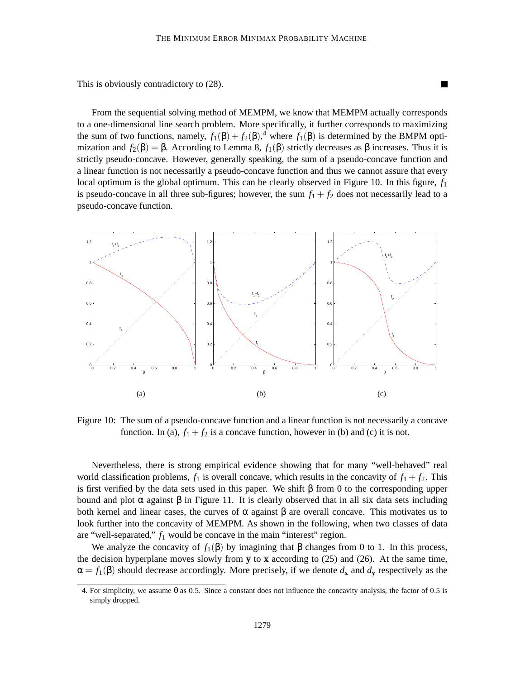This is obviously contradictory to (28).

From the sequential solving method of MEMPM, we know that MEMPM actually corresponds to a one-dimensional line search problem. More specifically, it further corresponds to maximizing the sum of two functions, namely,  $f_1(\beta) + f_2(\beta)$ ,<sup>4</sup> where  $f_1(\beta)$  is determined by the BMPM optimization and  $f_2(\beta) = \beta$ . According to Lemma 8,  $f_1(\beta)$  strictly decreases as  $\beta$  increases. Thus it is strictly pseudo-concave. However, generally speaking, the sum of a pseudo-concave function and a linear function is not necessarily a pseudo-concave function and thus we cannot assure that every local optimum is the global optimum. This can be clearly observed in Figure 10. In this figure, *f*<sup>1</sup> is pseudo-concave in all three sub-figures; however, the sum  $f_1 + f_2$  does not necessarily lead to a pseudo-concave function.



Figure 10: The sum of a pseudo-concave function and a linear function is not necessarily a concave function. In (a),  $f_1 + f_2$  is a concave function, however in (b) and (c) it is not.

Nevertheless, there is strong empirical evidence showing that for many "well-behaved" real world classification problems,  $f_1$  is overall concave, which results in the concavity of  $f_1 + f_2$ . This is first verified by the data sets used in this paper. We shift β from 0 to the corresponding upper bound and plot  $\alpha$  against  $\beta$  in Figure 11. It is clearly observed that in all six data sets including both kernel and linear cases, the curves of  $\alpha$  against  $\beta$  are overall concave. This motivates us to look further into the concavity of MEMPM. As shown in the following, when two classes of data are "well-separated," *f*<sup>1</sup> would be concave in the main "interest" region.

We analyze the concavity of  $f_1(\beta)$  by imagining that  $\beta$  changes from 0 to 1. In this process, the decision hyperplane moves slowly from  $\overline{y}$  to  $\overline{x}$  according to (25) and (26). At the same time,  $\alpha = f_1(\beta)$  should decrease accordingly. More precisely, if we denote  $d_x$  and  $d_y$  respectively as the

<sup>4.</sup> For simplicity, we assume θ as 0.5. Since a constant does not influence the concavity analysis, the factor of 0.5 is simply dropped.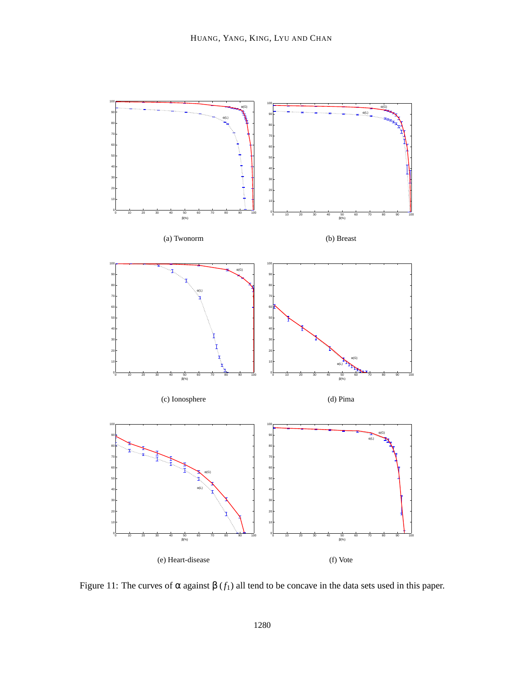

Figure 11: The curves of  $\alpha$  against  $\beta$  ( $f_1$ ) all tend to be concave in the data sets used in this paper.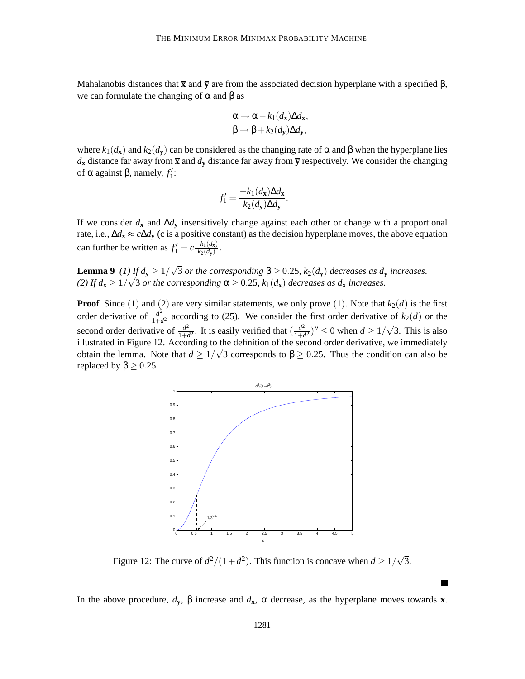Mahalanobis distances that  $\bar{x}$  and  $\bar{y}$  are from the associated decision hyperplane with a specified  $\beta$ , we can formulate the changing of  $\alpha$  and  $\beta$  as

$$
\alpha \to \alpha - k_1(d_{\mathbf{x}}) \Delta d_{\mathbf{x}},
$$
  

$$
\beta \to \beta + k_2(d_{\mathbf{y}}) \Delta d_{\mathbf{y}},
$$

where  $k_1(d_{\bf x})$  and  $k_2(d_{\bf y})$  can be considered as the changing rate of  $\alpha$  and  $\beta$  when the hyperplane lies  $d$ **x** distance far away from  $\bar{x}$  and  $d$ **y** distance far away from  $\bar{y}$  respectively. We consider the changing of α against β, namely,  $f_1$ :

$$
f_1' = \frac{-k_1(d_{\mathbf{x}})\Delta d_{\mathbf{x}}}{k_2(d_{\mathbf{y}})\Delta d_{\mathbf{y}}}.
$$

If we consider  $d$ **x** and  $\Delta d$ **y** insensitively change against each other or change with a proportional rate, i.e., ∆*d***<sup>x</sup>** ≈ *c*∆*d***<sup>y</sup>** (c is a positive constant) as the decision hyperplane moves, the above equation can further be written as  $f'_1 = c \frac{-k_1(d_{\mathbf{x}})}{k_2(d_{\mathbf{y}})}$ .

**Lemma 9** *(1)* If  $d$ **y**  $\geq$  1/ $\sqrt{3}$  *or the corresponding*  $\beta \geq$  0.25*, k*<sub>2</sub>( $d$ **y**) *decreases as d***y** *increases.* (2) If  $d$ **x**  $\geq$  1/ $\sqrt{3}$  *or the corresponding*  $\alpha$   $\geq$  0.25*, k*<sub>1</sub>( $d$ **x**) *decreases as d***x** *increases.* 

**Proof** Since (1) and (2) are very similar statements, we only prove (1). Note that  $k_2(d)$  is the first order derivative of  $\frac{d^2}{1+d^2}$  $\frac{d^2}{1+d^2}$  according to (25). We consider the first order derivative of  $k_2(d)$  or the second order derivative of  $\frac{d^2}{1+r^2}$  $\frac{d^2}{1+d^2}$ . It is easily verified that  $\left(\frac{d^2}{1+d^2}\right)$  $\frac{d^2}{1+d^2}$ )<sup>*n*</sup>  $\leq$  0 when *d*  $\geq$  1/ $\sqrt{3}$ . This is also illustrated in Figure 12. According to the definition of the second order derivative, we immediately  $\alpha$  and  $\alpha$  is the lemma. Note that *d* ≥ 1/ $\sqrt{3}$  corresponds to β ≥ 0.25. Thus the condition can also be replaced by  $\beta \geq 0.25$ .



Figure 12: The curve of  $d^2/(1+d^2)$ . This function is concave when  $d \geq 1/\sqrt{3}$ .

In the above procedure,  $d$ **v**, β increase and  $d$ **x**, α decrease, as the hyperplane moves towards **x**.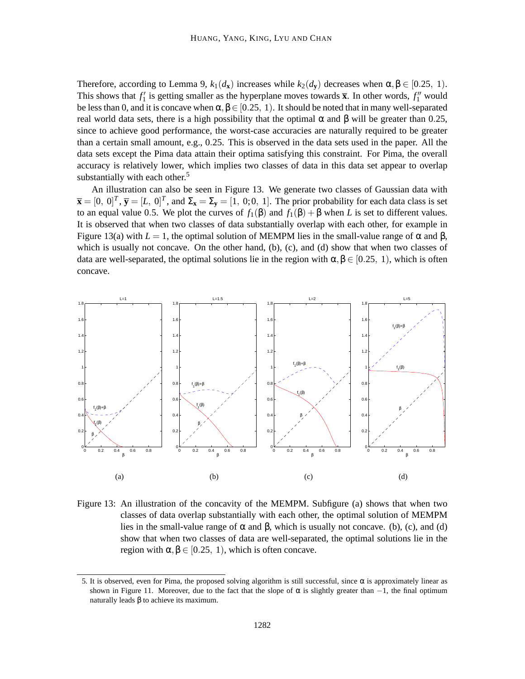Therefore, according to Lemma 9,  $k_1(d_x)$  increases while  $k_2(d_y)$  decreases when  $\alpha, \beta \in [0.25, 1)$ . This shows that  $f_1'$  is getting smaller as the hyperplane moves towards  $\bar{x}$ . In other words,  $f_1''$  would be less than 0, and it is concave when  $\alpha, \beta \in [0.25, 1)$ . It should be noted that in many well-separated real world data sets, there is a high possibility that the optimal α and β will be greater than 0.25, since to achieve good performance, the worst-case accuracies are naturally required to be greater than a certain small amount, e.g., 0.25. This is observed in the data sets used in the paper. All the data sets except the Pima data attain their optima satisfying this constraint. For Pima, the overall accuracy is relatively lower, which implies two classes of data in this data set appear to overlap substantially with each other. $5$ 

An illustration can also be seen in Figure 13. We generate two classes of Gaussian data with  $\overline{\mathbf{x}} = [0, 0]^T$ ,  $\overline{\mathbf{y}} = [L, 0]^T$ , and  $\Sigma_{\mathbf{x}} = \Sigma_{\mathbf{y}} = [1, 0; 0, 1]$ . The prior probability for each data class is set to an equal value 0.5. We plot the curves of  $f_1(\beta)$  and  $f_1(\beta) + \beta$  when *L* is set to different values. It is observed that when two classes of data substantially overlap with each other, for example in Figure 13(a) with  $L = 1$ , the optimal solution of MEMPM lies in the small-value range of  $\alpha$  and  $\beta$ , which is usually not concave. On the other hand,  $(b)$ ,  $(c)$ , and  $(d)$  show that when two classes of data are well-separated, the optimal solutions lie in the region with  $\alpha, \beta \in [0.25, 1)$ , which is often concave.



Figure 13: An illustration of the concavity of the MEMPM. Subfigure (a) shows that when two classes of data overlap substantially with each other, the optimal solution of MEMPM lies in the small-value range of  $\alpha$  and  $\beta$ , which is usually not concave. (b), (c), and (d) show that when two classes of data are well-separated, the optimal solutions lie in the region with  $\alpha, \beta \in [0.25, 1)$ , which is often concave.

<sup>5.</sup> It is observed, even for Pima, the proposed solving algorithm is still successful, since  $\alpha$  is approximately linear as shown in Figure 11. Moreover, due to the fact that the slope of  $\alpha$  is slightly greater than  $-1$ , the final optimum naturally leads  $β$  to achieve its maximum.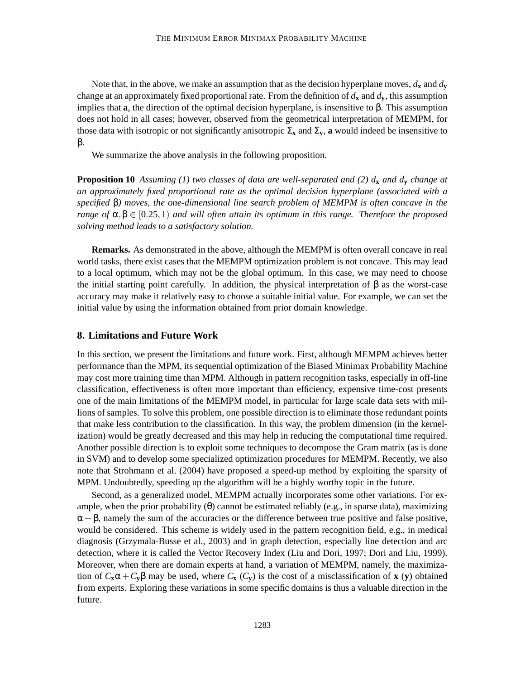Note that, in the above, we make an assumption that as the decision hyperplane moves,  $d_x$  and  $d_y$ change at an approximately fixed proportional rate. From the definition of  $d_x$  and  $d_y$ , this assumption implies that **a**, the direction of the optimal decision hyperplane, is insensitive to β. This assumption does not hold in all cases; however, observed from the geometrical interpretation of MEMPM, for those data with isotropic or not significantly anisotropic  $\Sigma_x$  and  $\Sigma_y$ , **a** would indeed be insensitive to β.

We summarize the above analysis in the following proposition.

**Proposition 10** *Assuming (1) two classes of data are well-separated and (2) d***<sup>x</sup>** *and d***<sup>y</sup>** *change at an approximately fixed proportional rate as the optimal decision hyperplane (associated with a specified* β*) moves, the one-dimensional line search problem of MEMPM is often concave in the range of*  $\alpha, \beta \in [0.25, 1)$  *and will often attain its optimum in this range. Therefore the proposed solving method leads to a satisfactory solution.*

**Remarks.** As demonstrated in the above, although the MEMPM is often overall concave in real world tasks, there exist cases that the MEMPM optimization problem is not concave. This may lead to a local optimum, which may not be the global optimum. In this case, we may need to choose the initial starting point carefully. In addition, the physical interpretation of β as the worst-case accuracy may make it relatively easy to choose a suitable initial value. For example, we can set the initial value by using the information obtained from prior domain knowledge.

### **8. Limitations and Future Work**

In this section, we present the limitations and future work. First, although MEMPM achieves better performance than the MPM, its sequential optimization of the Biased Minimax Probability Machine may cost more training time than MPM. Although in pattern recognition tasks, especially in off-line classification, effectiveness is often more important than efficiency, expensive time-cost presents one of the main limitations of the MEMPM model, in particular for large scale data sets with millions of samples. To solve this problem, one possible direction is to eliminate those redundant points that make less contribution to the classification. In this way, the problem dimension (in the kernelization) would be greatly decreased and this may help in reducing the computational time required. Another possible direction is to exploit some techniques to decompose the Gram matrix (as is done in SVM) and to develop some specialized optimization procedures for MEMPM. Recently, we also note that Strohmann et al. (2004) have proposed a speed-up method by exploiting the sparsity of MPM. Undoubtedly, speeding up the algorithm will be a highly worthy topic in the future.

Second, as a generalized model, MEMPM actually incorporates some other variations. For example, when the prior probability (θ) cannot be estimated reliably (e.g., in sparse data), maximizing  $\alpha + \beta$ , namely the sum of the accuracies or the difference between true positive and false positive, would be considered. This scheme is widely used in the pattern recognition field, e.g., in medical diagnosis (Grzymala-Busse et al., 2003) and in graph detection, especially line detection and arc detection, where it is called the Vector Recovery Index (Liu and Dori, 1997; Dori and Liu, 1999). Moreover, when there are domain experts at hand, a variation of MEMPM, namely, the maximization of  $C_x\alpha + C_y\beta$  may be used, where  $C_x(C_y)$  is the cost of a misclassification of **x** (**y**) obtained from experts. Exploring these variations in some specific domains is thus a valuable direction in the future.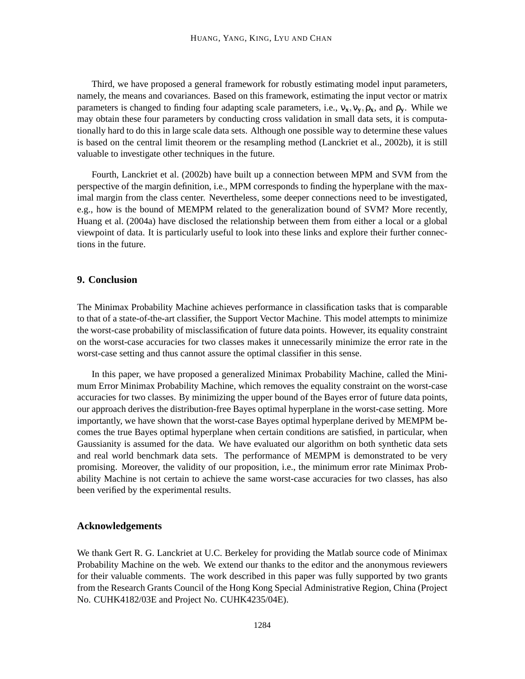Third, we have proposed a general framework for robustly estimating model input parameters, namely, the means and covariances. Based on this framework, estimating the input vector or matrix parameters is changed to finding four adapting scale parameters, i.e.,  $v_x, v_y, \rho_x$ , and  $\rho_y$ . While we may obtain these four parameters by conducting cross validation in small data sets, it is computationally hard to do this in large scale data sets. Although one possible way to determine these values is based on the central limit theorem or the resampling method (Lanckriet et al., 2002b), it is still valuable to investigate other techniques in the future.

Fourth, Lanckriet et al. (2002b) have built up a connection between MPM and SVM from the perspective of the margin definition, i.e., MPM corresponds to finding the hyperplane with the maximal margin from the class center. Nevertheless, some deeper connections need to be investigated, e.g., how is the bound of MEMPM related to the generalization bound of SVM? More recently, Huang et al. (2004a) have disclosed the relationship between them from either a local or a global viewpoint of data. It is particularly useful to look into these links and explore their further connections in the future.

## **9. Conclusion**

The Minimax Probability Machine achieves performance in classification tasks that is comparable to that of a state-of-the-art classifier, the Support Vector Machine. This model attempts to minimize the worst-case probability of misclassification of future data points. However, its equality constraint on the worst-case accuracies for two classes makes it unnecessarily minimize the error rate in the worst-case setting and thus cannot assure the optimal classifier in this sense.

In this paper, we have proposed a generalized Minimax Probability Machine, called the Minimum Error Minimax Probability Machine, which removes the equality constraint on the worst-case accuracies for two classes. By minimizing the upper bound of the Bayes error of future data points, our approach derives the distribution-free Bayes optimal hyperplane in the worst-case setting. More importantly, we have shown that the worst-case Bayes optimal hyperplane derived by MEMPM becomes the true Bayes optimal hyperplane when certain conditions are satisfied, in particular, when Gaussianity is assumed for the data. We have evaluated our algorithm on both synthetic data sets and real world benchmark data sets. The performance of MEMPM is demonstrated to be very promising. Moreover, the validity of our proposition, i.e., the minimum error rate Minimax Probability Machine is not certain to achieve the same worst-case accuracies for two classes, has also been verified by the experimental results.

### **Acknowledgements**

We thank Gert R. G. Lanckriet at U.C. Berkeley for providing the Matlab source code of Minimax Probability Machine on the web. We extend our thanks to the editor and the anonymous reviewers for their valuable comments. The work described in this paper was fully supported by two grants from the Research Grants Council of the Hong Kong Special Administrative Region, China (Project No. CUHK4182/03E and Project No. CUHK4235/04E).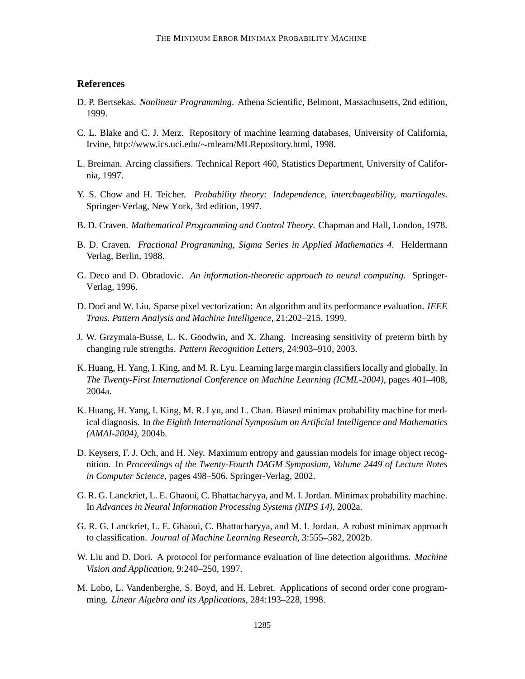## **References**

- D. P. Bertsekas. *Nonlinear Programming*. Athena Scientific, Belmont, Massachusetts, 2nd edition, 1999.
- C. L. Blake and C. J. Merz. Repository of machine learning databases, University of California, Irvine, http://www.ics.uci.edu/∼mlearn/MLRepository.html, 1998.
- L. Breiman. Arcing classifiers. Technical Report 460, Statistics Department, University of California, 1997.
- Y. S. Chow and H. Teicher. *Probability theory: Independence, interchageability, martingales*. Springer-Verlag, New York, 3rd edition, 1997.
- B. D. Craven. *Mathematical Programming and Control Theory*. Chapman and Hall, London, 1978.
- B. D. Craven. *Fractional Programming, Sigma Series in Applied Mathematics 4*. Heldermann Verlag, Berlin, 1988.
- G. Deco and D. Obradovic. *An information-theoretic approach to neural computing*. Springer-Verlag, 1996.
- D. Dori and W. Liu. Sparse pixel vectorization: An algorithm and its performance evaluation. *IEEE Trans. Pattern Analysis and Machine Intelligence*, 21:202–215, 1999.
- J. W. Grzymala-Busse, L. K. Goodwin, and X. Zhang. Increasing sensitivity of preterm birth by changing rule strengths. *Pattern Recognition Letters*, 24:903–910, 2003.
- K. Huang, H. Yang, I. King, and M. R. Lyu. Learning large margin classifiers locally and globally. In *The Twenty-First International Conference on Machine Learning (ICML-2004)*, pages 401–408, 2004a.
- K. Huang, H. Yang, I. King, M. R. Lyu, and L. Chan. Biased minimax probability machine for medical diagnosis. In *the Eighth International Symposium on Artificial Intelligence and Mathematics (AMAI-2004)*, 2004b.
- D. Keysers, F. J. Och, and H. Ney. Maximum entropy and gaussian models for image object recognition. In *Proceedings of the Twenty-Fourth DAGM Symposium, Volume 2449 of Lecture Notes in Computer Science*, pages 498–506. Springer-Verlag, 2002.
- G. R. G. Lanckriet, L. E. Ghaoui, C. Bhattacharyya, and M. I. Jordan. Minimax probability machine. In *Advances in Neural Information Processing Systems (NIPS 14)*, 2002a.
- G. R. G. Lanckriet, L. E. Ghaoui, C. Bhattacharyya, and M. I. Jordan. A robust minimax approach to classification. *Journal of Machine Learning Research*, 3:555–582, 2002b.
- W. Liu and D. Dori. A protocol for performance evaluation of line detection algorithms. *Machine Vision and Application*, 9:240–250, 1997.
- M. Lobo, L. Vandenberghe, S. Boyd, and H. Lebret. Applications of second order cone programming. *Linear Algebra and its Applications*, 284:193–228, 1998.